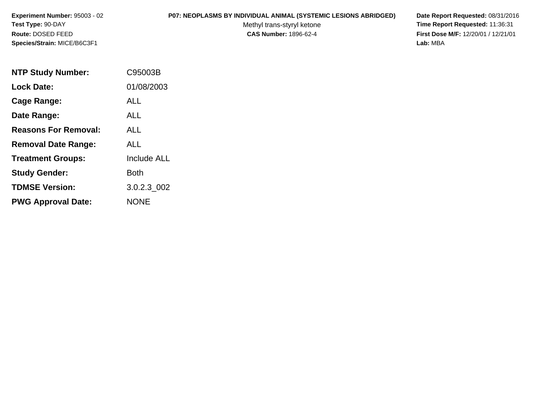## **P07: NEOPLASMS BY INDIVIDUAL ANIMAL (SYSTEMIC LESIONS ABRIDGED) Date Report Requested:** 08/31/2016

Methyl trans-styryl ketone<br>CAS Number: 1896-62-4

| <b>NTP Study Number:</b>    | C95003B            |
|-----------------------------|--------------------|
| <b>Lock Date:</b>           | 01/08/2003         |
| Cage Range:                 | ALL                |
| Date Range:                 | ALL                |
| <b>Reasons For Removal:</b> | ALL.               |
| <b>Removal Date Range:</b>  | ALL                |
| <b>Treatment Groups:</b>    | <b>Include ALL</b> |
| <b>Study Gender:</b>        | Both               |
| <b>TDMSE Version:</b>       | 3.0.2.3 002        |
| <b>PWG Approval Date:</b>   | <b>NONE</b>        |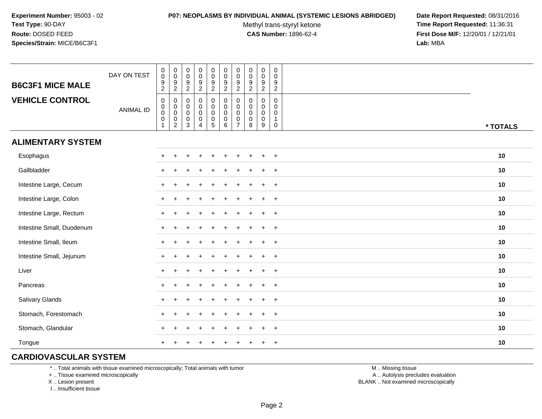#### **P07: NEOPLASMS BY INDIVIDUAL ANIMAL (SYSTEMIC LESIONS ABRIDGED) Date Report Requested:** 08/31/2016

Methyl trans-styryl ketone<br>CAS Number: 1896-62-4

 **Time Report Requested:** 11:36:31 **First Dose M/F:** 12/20/01 / 12/21/01<br>Lab: MBA **Lab:** MBA

| <b>B6C3F1 MICE MALE</b>   | DAY ON TEST      | $\begin{smallmatrix}0\0\0\9\end{smallmatrix}$<br>$\overline{a}$    | $\begin{array}{c} 0 \\ 0 \\ 9 \\ 2 \end{array}$            | $\pmb{0}$<br>$\mathbf 0$<br>$\frac{9}{2}$          | $\pmb{0}$<br>$\mathsf 0$<br>$\overline{9}$<br>$\overline{2}$           | $\pmb{0}$<br>$\frac{0}{9}$<br>$\overline{a}$                                     | $\pmb{0}$<br>$\overline{0}$<br>9<br>$\overline{c}$        | $\pmb{0}$<br>$\mathsf{O}\xspace$<br>$\overline{9}$<br>$\overline{2}$ | $\pmb{0}$<br>$\pmb{0}$<br>9<br>$\overline{2}$ | $\begin{smallmatrix}0\\0\\9\end{smallmatrix}$<br>$\overline{2}$ | 0<br>$\mathsf 0$<br>9<br>$\sqrt{2}$        |          |
|---------------------------|------------------|--------------------------------------------------------------------|------------------------------------------------------------|----------------------------------------------------|------------------------------------------------------------------------|----------------------------------------------------------------------------------|-----------------------------------------------------------|----------------------------------------------------------------------|-----------------------------------------------|-----------------------------------------------------------------|--------------------------------------------|----------|
| <b>VEHICLE CONTROL</b>    | <b>ANIMAL ID</b> | $\pmb{0}$<br>$\begin{matrix}0\\0\\0\end{matrix}$<br>$\overline{1}$ | $\pmb{0}$<br>$\pmb{0}$<br>$\overline{0}$<br>$\overline{c}$ | 0<br>0<br>$\mathbf 0$<br>$\mathbf 0$<br>$\sqrt{3}$ | $\mathbf 0$<br>$\pmb{0}$<br>$\mathbf 0$<br>$\pmb{0}$<br>$\overline{4}$ | 0<br>$\mathbf 0$<br>$\mathsf{O}\xspace$<br>$\begin{array}{c} 0 \\ 5 \end{array}$ | 0<br>$\mathsf 0$<br>$\mathsf{O}\xspace$<br>$\pmb{0}$<br>6 | $\mathbf 0$<br>0<br>$\mathbf 0$<br>$\mathbf 0$<br>$\overline{7}$     | 0<br>0<br>0<br>0<br>8                         | 0<br>$\boldsymbol{0}$<br>$\mathbf 0$<br>$\mathbf 0$<br>9        | 0<br>0<br>$\mathbf 0$<br>$\mathbf{1}$<br>0 | * TOTALS |
| <b>ALIMENTARY SYSTEM</b>  |                  |                                                                    |                                                            |                                                    |                                                                        |                                                                                  |                                                           |                                                                      |                                               |                                                                 |                                            |          |
| Esophagus                 |                  | $\ddot{}$                                                          |                                                            |                                                    |                                                                        |                                                                                  |                                                           |                                                                      |                                               |                                                                 | $+$                                        | 10       |
| Gallbladder               |                  | $+$                                                                |                                                            |                                                    |                                                                        |                                                                                  |                                                           |                                                                      |                                               |                                                                 | $+$                                        | 10       |
| Intestine Large, Cecum    |                  |                                                                    |                                                            |                                                    |                                                                        |                                                                                  |                                                           |                                                                      |                                               |                                                                 | $+$                                        | 10       |
| Intestine Large, Colon    |                  |                                                                    |                                                            |                                                    |                                                                        |                                                                                  |                                                           |                                                                      |                                               |                                                                 | $+$                                        | 10       |
| Intestine Large, Rectum   |                  |                                                                    |                                                            |                                                    |                                                                        |                                                                                  |                                                           |                                                                      |                                               |                                                                 | $+$                                        | 10       |
| Intestine Small, Duodenum |                  |                                                                    |                                                            |                                                    |                                                                        |                                                                                  |                                                           |                                                                      |                                               |                                                                 | $+$                                        | 10       |
| Intestine Small, Ileum    |                  |                                                                    |                                                            |                                                    |                                                                        |                                                                                  |                                                           |                                                                      |                                               |                                                                 | $+$                                        | 10       |
| Intestine Small, Jejunum  |                  |                                                                    |                                                            |                                                    |                                                                        |                                                                                  |                                                           |                                                                      |                                               |                                                                 | $+$                                        | 10       |
| Liver                     |                  | $+$                                                                |                                                            |                                                    |                                                                        |                                                                                  |                                                           |                                                                      |                                               |                                                                 | $+$                                        | 10       |
| Pancreas                  |                  | $+$                                                                | $\ddot{}$                                                  |                                                    |                                                                        |                                                                                  |                                                           |                                                                      |                                               |                                                                 | $+$                                        | 10       |
| Salivary Glands           |                  | $\ddot{}$                                                          | ÷                                                          |                                                    |                                                                        |                                                                                  |                                                           |                                                                      |                                               |                                                                 | $+$                                        | 10       |
| Stomach, Forestomach      |                  |                                                                    |                                                            |                                                    |                                                                        |                                                                                  |                                                           |                                                                      |                                               |                                                                 | $^{+}$                                     | 10       |
| Stomach, Glandular        |                  |                                                                    |                                                            |                                                    |                                                                        |                                                                                  |                                                           |                                                                      |                                               |                                                                 | $+$                                        | 10       |
| Tongue                    |                  |                                                                    |                                                            |                                                    |                                                                        |                                                                                  |                                                           |                                                                      |                                               |                                                                 | $+$                                        | 10       |

## **CARDIOVASCULAR SYSTEM**

\* .. Total animals with tissue examined microscopically; Total animals with tumor

+ .. Tissue examined microscopically

X .. Lesion present

I .. Insufficient tissue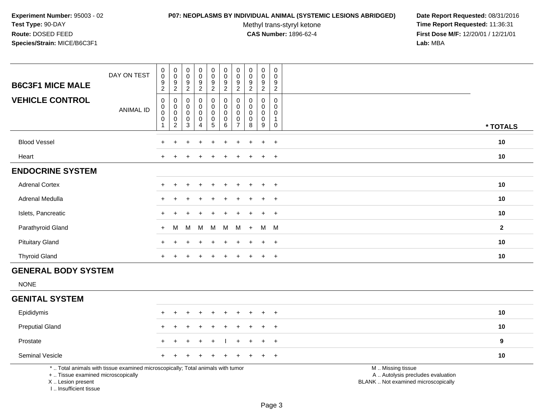#### **P07: NEOPLASMS BY INDIVIDUAL ANIMAL (SYSTEMIC LESIONS ABRIDGED) Date Report Requested:** 08/31/2016

Methyl trans-styryl ketone<br>CAS Number: 1896-62-4

| <b>B6C3F1 MICE MALE</b>                                                            | DAY ON TEST                                                                     | $\pmb{0}$<br>$\mathbf 0$<br>$\boldsymbol{9}$                                           | $\,0\,$<br>$\mathsf{O}\xspace$<br>9                                                    | $\boldsymbol{0}$<br>$\pmb{0}$<br>9                          | $\mathbf 0$<br>${\bf 0}$<br>$\frac{9}{2}$               | $\mathsf 0$<br>$\mathsf{O}\xspace$<br>$\frac{9}{2}$                        | $\pmb{0}$<br>$\mathbf 0$<br>9                                                     | $\pmb{0}$<br>$\pmb{0}$<br>9                                                                  | $\pmb{0}$<br>$\pmb{0}$<br>$9\,$                                            | $\pmb{0}$<br>$\mathsf{O}\xspace$<br>9                                    | $\pmb{0}$<br>$\mathbf 0$<br>9                                                   |                                                                                               |              |
|------------------------------------------------------------------------------------|---------------------------------------------------------------------------------|----------------------------------------------------------------------------------------|----------------------------------------------------------------------------------------|-------------------------------------------------------------|---------------------------------------------------------|----------------------------------------------------------------------------|-----------------------------------------------------------------------------------|----------------------------------------------------------------------------------------------|----------------------------------------------------------------------------|--------------------------------------------------------------------------|---------------------------------------------------------------------------------|-----------------------------------------------------------------------------------------------|--------------|
| <b>VEHICLE CONTROL</b>                                                             | <b>ANIMAL ID</b>                                                                | $\overline{2}$<br>$\pmb{0}$<br>$\pmb{0}$<br>$\mathbf 0$<br>$\mathbf 0$<br>$\mathbf{1}$ | $\overline{2}$<br>$\mathbf 0$<br>$\,0\,$<br>$\mathbf 0$<br>$\pmb{0}$<br>$\overline{2}$ | $\overline{2}$<br>$\mathbf 0$<br>0<br>$\mathbf 0$<br>0<br>3 | $\mathbf 0$<br>$\pmb{0}$<br>$\pmb{0}$<br>$\pmb{0}$<br>4 | $\mathbf 0$<br>$\mathbf 0$<br>$\mathbf 0$<br>$\mathbf 0$<br>$\overline{5}$ | $\overline{2}$<br>$\pmb{0}$<br>$\mathbf 0$<br>$\mathbf 0$<br>$\pmb{0}$<br>$\,6\,$ | $\overline{2}$<br>$\mathbf 0$<br>$\mathbf 0$<br>$\mathbf 0$<br>$\mathbf 0$<br>$\overline{7}$ | $\overline{2}$<br>$\mathbf 0$<br>$\Omega$<br>$\pmb{0}$<br>$\mathbf 0$<br>8 | $\overline{2}$<br>0<br>0<br>$\mathbf 0$<br>$\mathbf 0$<br>$\overline{9}$ | $\overline{2}$<br>0<br>$\Omega$<br>$\mathbf 0$<br>$\overline{1}$<br>$\mathbf 0$ |                                                                                               | * TOTALS     |
| <b>Blood Vessel</b>                                                                |                                                                                 |                                                                                        |                                                                                        |                                                             |                                                         |                                                                            |                                                                                   |                                                                                              |                                                                            |                                                                          | $\ddot{}$                                                                       |                                                                                               | 10           |
| Heart                                                                              |                                                                                 |                                                                                        |                                                                                        |                                                             |                                                         |                                                                            |                                                                                   |                                                                                              |                                                                            | $\div$                                                                   | $+$                                                                             |                                                                                               | 10           |
| <b>ENDOCRINE SYSTEM</b>                                                            |                                                                                 |                                                                                        |                                                                                        |                                                             |                                                         |                                                                            |                                                                                   |                                                                                              |                                                                            |                                                                          |                                                                                 |                                                                                               |              |
| <b>Adrenal Cortex</b>                                                              |                                                                                 |                                                                                        |                                                                                        |                                                             |                                                         |                                                                            |                                                                                   |                                                                                              |                                                                            |                                                                          | $+$                                                                             |                                                                                               | 10           |
| Adrenal Medulla                                                                    |                                                                                 | $\pm$                                                                                  |                                                                                        |                                                             |                                                         |                                                                            |                                                                                   |                                                                                              |                                                                            | $\ddot{}$                                                                | $+$                                                                             |                                                                                               | 10           |
| Islets, Pancreatic                                                                 |                                                                                 |                                                                                        |                                                                                        |                                                             |                                                         |                                                                            |                                                                                   |                                                                                              |                                                                            |                                                                          | $\ddot{}$                                                                       |                                                                                               | 10           |
| Parathyroid Gland                                                                  |                                                                                 | $\pm$                                                                                  | М                                                                                      | М                                                           | M                                                       | M                                                                          | M                                                                                 | M                                                                                            | $\ddot{}$                                                                  | M                                                                        | M                                                                               |                                                                                               | $\mathbf{2}$ |
| <b>Pituitary Gland</b>                                                             |                                                                                 | $\pm$                                                                                  |                                                                                        |                                                             | $\div$                                                  |                                                                            |                                                                                   |                                                                                              |                                                                            | $\ddot{}$                                                                | $+$                                                                             |                                                                                               | 10           |
| <b>Thyroid Gland</b>                                                               |                                                                                 | $+$                                                                                    |                                                                                        |                                                             |                                                         |                                                                            |                                                                                   |                                                                                              |                                                                            | $\ddot{}$                                                                | $+$                                                                             |                                                                                               | 10           |
| <b>GENERAL BODY SYSTEM</b>                                                         |                                                                                 |                                                                                        |                                                                                        |                                                             |                                                         |                                                                            |                                                                                   |                                                                                              |                                                                            |                                                                          |                                                                                 |                                                                                               |              |
| <b>NONE</b>                                                                        |                                                                                 |                                                                                        |                                                                                        |                                                             |                                                         |                                                                            |                                                                                   |                                                                                              |                                                                            |                                                                          |                                                                                 |                                                                                               |              |
| <b>GENITAL SYSTEM</b>                                                              |                                                                                 |                                                                                        |                                                                                        |                                                             |                                                         |                                                                            |                                                                                   |                                                                                              |                                                                            |                                                                          |                                                                                 |                                                                                               |              |
| Epididymis                                                                         |                                                                                 | $+$                                                                                    | $\ddot{}$                                                                              | ÷                                                           | $\ddot{}$                                               | $\ddot{}$                                                                  | $\ddot{}$                                                                         | $\ddot{}$                                                                                    |                                                                            | $\ddot{}$                                                                | $+$                                                                             |                                                                                               | 10           |
| <b>Preputial Gland</b>                                                             |                                                                                 |                                                                                        |                                                                                        |                                                             |                                                         |                                                                            |                                                                                   |                                                                                              |                                                                            |                                                                          | $\ddot{}$                                                                       |                                                                                               | 10           |
| Prostate                                                                           |                                                                                 |                                                                                        |                                                                                        |                                                             |                                                         |                                                                            |                                                                                   |                                                                                              |                                                                            |                                                                          | $\ddot{}$                                                                       |                                                                                               | $\bf{9}$     |
| Seminal Vesicle                                                                    |                                                                                 |                                                                                        |                                                                                        |                                                             |                                                         |                                                                            |                                                                                   |                                                                                              |                                                                            |                                                                          | $\ddot{}$                                                                       |                                                                                               | 10           |
| +  Tissue examined microscopically<br>X  Lesion present<br>I., Insufficient tissue | *  Total animals with tissue examined microscopically; Total animals with tumor |                                                                                        |                                                                                        |                                                             |                                                         |                                                                            |                                                                                   |                                                                                              |                                                                            |                                                                          |                                                                                 | M  Missing tissue<br>A  Autolysis precludes evaluation<br>BLANK  Not examined microscopically |              |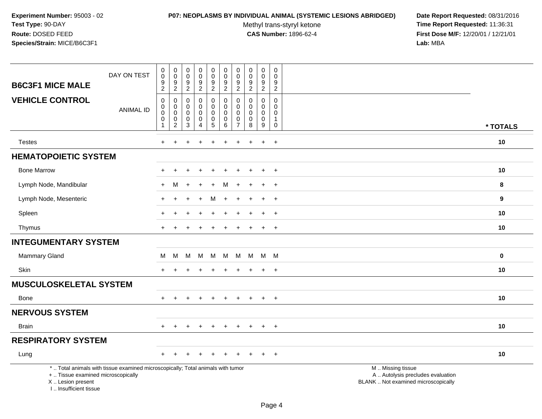#### **P07: NEOPLASMS BY INDIVIDUAL ANIMAL (SYSTEMIC LESIONS ABRIDGED) Date Report Requested:** 08/31/2016

Methyl trans-styryl ketone<br>CAS Number: 1896-62-4

| <b>B6C3F1 MICE MALE</b>                                                          | DAY ON TEST                                                                     | $\boldsymbol{0}$<br>$\mathbf 0$<br>$\boldsymbol{9}$<br>$\boldsymbol{2}$ | $\mathbf 0$<br>$\mathbf 0$<br>$\boldsymbol{9}$<br>$\overline{2}$ | $\pmb{0}$<br>$\mathbf 0$<br>$\boldsymbol{9}$<br>$\overline{c}$ | $_{\rm 0}^{\rm 0}$<br>$\boldsymbol{9}$<br>$\boldsymbol{2}$ | $\pmb{0}$<br>$\mathbf 0$<br>$\boldsymbol{9}$<br>$\overline{c}$ | $\mathbf 0$<br>$\mathbf 0$<br>$\boldsymbol{9}$<br>$\overline{2}$ | 0<br>$\mathbf 0$<br>9<br>$\overline{c}$     | $\pmb{0}$<br>0<br>$\boldsymbol{9}$<br>$\overline{c}$ | $\pmb{0}$<br>$\pmb{0}$<br>$\boldsymbol{9}$<br>$\overline{2}$ | $\mathbf 0$<br>$\mathbf 0$<br>9<br>$\overline{c}$   |                                                                                               |          |
|----------------------------------------------------------------------------------|---------------------------------------------------------------------------------|-------------------------------------------------------------------------|------------------------------------------------------------------|----------------------------------------------------------------|------------------------------------------------------------|----------------------------------------------------------------|------------------------------------------------------------------|---------------------------------------------|------------------------------------------------------|--------------------------------------------------------------|-----------------------------------------------------|-----------------------------------------------------------------------------------------------|----------|
| <b>VEHICLE CONTROL</b>                                                           | <b>ANIMAL ID</b>                                                                | $\pmb{0}$<br>$\pmb{0}$<br>$\boldsymbol{0}$<br>0                         | $\mathbf 0$<br>0<br>$\pmb{0}$<br>0                               | $\mathbf 0$<br>0<br>$\mathbf 0$<br>0                           | $\mathbf 0$<br>$\mathbf 0$<br>$\pmb{0}$<br>0               | $\mathbf 0$<br>$\pmb{0}$<br>$\mathbf 0$<br>$\pmb{0}$           | $\mathbf 0$<br>$\mathbf 0$<br>$\mathbf 0$<br>0                   | $\Omega$<br>0<br>$\mathbf 0$<br>$\mathbf 0$ | $\mathbf 0$<br>$\mathbf 0$<br>$\mathbf 0$<br>0       | $\mathbf 0$<br>$\mathbf 0$<br>$\pmb{0}$<br>$\pmb{0}$         | $\Omega$<br>$\mathbf 0$<br>$\Omega$<br>$\mathbf{1}$ |                                                                                               |          |
|                                                                                  |                                                                                 | $\mathbf{1}$                                                            | $\overline{c}$                                                   | 3                                                              | $\overline{4}$                                             | $\overline{5}$                                                 | $6\phantom{1}6$                                                  | $\overline{7}$                              | 8                                                    | 9                                                            | $\mathbf 0$                                         |                                                                                               | * TOTALS |
| <b>Testes</b>                                                                    |                                                                                 | $+$                                                                     | $\ddot{}$                                                        |                                                                | $\ddot{}$                                                  | $+$                                                            | $\ddot{}$                                                        | $\ddot{}$                                   |                                                      | $\ddot{}$                                                    | $+$                                                 |                                                                                               | 10       |
| <b>HEMATOPOIETIC SYSTEM</b>                                                      |                                                                                 |                                                                         |                                                                  |                                                                |                                                            |                                                                |                                                                  |                                             |                                                      |                                                              |                                                     |                                                                                               |          |
| <b>Bone Marrow</b>                                                               |                                                                                 |                                                                         |                                                                  |                                                                |                                                            |                                                                |                                                                  |                                             |                                                      | $\mathbf +$                                                  | $\overline{+}$                                      |                                                                                               | 10       |
| Lymph Node, Mandibular                                                           |                                                                                 | $+$                                                                     | M                                                                | $\ddot{}$                                                      | $\ddot{+}$                                                 | $+$                                                            | M                                                                | $\ddot{}$                                   |                                                      | $+$                                                          | $+$                                                 |                                                                                               | 8        |
| Lymph Node, Mesenteric                                                           |                                                                                 | $\ddot{}$                                                               | $\ddot{}$                                                        | $\ddot{}$                                                      | $\ddot{}$                                                  | м                                                              | $\overline{+}$                                                   | $\ddot{}$                                   |                                                      | $\ddot{}$                                                    | $+$                                                 |                                                                                               | 9        |
| Spleen                                                                           |                                                                                 |                                                                         |                                                                  |                                                                |                                                            |                                                                |                                                                  |                                             |                                                      |                                                              | $\ddot{}$                                           |                                                                                               | 10       |
| Thymus                                                                           |                                                                                 |                                                                         |                                                                  |                                                                |                                                            |                                                                |                                                                  |                                             |                                                      | $\pm$                                                        | $+$                                                 |                                                                                               | 10       |
| <b>INTEGUMENTARY SYSTEM</b>                                                      |                                                                                 |                                                                         |                                                                  |                                                                |                                                            |                                                                |                                                                  |                                             |                                                      |                                                              |                                                     |                                                                                               |          |
| <b>Mammary Gland</b>                                                             |                                                                                 | M                                                                       | M                                                                | м                                                              | M                                                          | М                                                              | M                                                                | M                                           | M                                                    | M M                                                          |                                                     |                                                                                               | $\bf{0}$ |
| Skin                                                                             |                                                                                 |                                                                         |                                                                  |                                                                |                                                            |                                                                |                                                                  |                                             |                                                      | $\ddot{}$                                                    | $+$                                                 |                                                                                               | 10       |
| <b>MUSCULOSKELETAL SYSTEM</b>                                                    |                                                                                 |                                                                         |                                                                  |                                                                |                                                            |                                                                |                                                                  |                                             |                                                      |                                                              |                                                     |                                                                                               |          |
| Bone                                                                             |                                                                                 | $+$                                                                     | $\pm$                                                            | $+$                                                            | $+$                                                        | $\pm$                                                          | $\ddot{}$                                                        | $\ddot{}$                                   | $\ddot{}$                                            | $+$                                                          | $+$                                                 |                                                                                               | 10       |
| <b>NERVOUS SYSTEM</b>                                                            |                                                                                 |                                                                         |                                                                  |                                                                |                                                            |                                                                |                                                                  |                                             |                                                      |                                                              |                                                     |                                                                                               |          |
| <b>Brain</b>                                                                     |                                                                                 | $+$                                                                     | $\ddot{}$                                                        | $\pm$                                                          | $\div$                                                     | $\ddot{}$                                                      | $\overline{+}$                                                   | $\pm$                                       | $\pm$                                                | $\pm$                                                        | $+$                                                 |                                                                                               | 10       |
| <b>RESPIRATORY SYSTEM</b>                                                        |                                                                                 |                                                                         |                                                                  |                                                                |                                                            |                                                                |                                                                  |                                             |                                                      |                                                              |                                                     |                                                                                               |          |
| Lung                                                                             |                                                                                 |                                                                         |                                                                  |                                                                |                                                            |                                                                |                                                                  |                                             |                                                      |                                                              | $\overline{+}$                                      |                                                                                               | 10       |
| +  Tissue examined microscopically<br>X  Lesion present<br>I Insufficient tissue | *  Total animals with tissue examined microscopically; Total animals with tumor |                                                                         |                                                                  |                                                                |                                                            |                                                                |                                                                  |                                             |                                                      |                                                              |                                                     | M  Missing tissue<br>A  Autolysis precludes evaluation<br>BLANK  Not examined microscopically |          |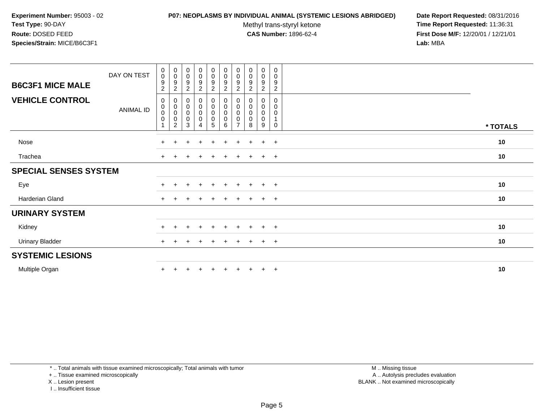#### **P07: NEOPLASMS BY INDIVIDUAL ANIMAL (SYSTEMIC LESIONS ABRIDGED) Date Report Requested:** 08/31/2016

Methyl trans-styryl ketone<br>CAS Number: 1896-62-4

 **Time Report Requested:** 11:36:31 **First Dose M/F:** 12/20/01 / 12/21/01<br>**Lab:** MBA **Lab:** MBA

| <b>B6C3F1 MICE MALE</b>      | DAY ON TEST | 0<br>$\pmb{0}$<br>9<br>$\overline{c}$ | $\begin{smallmatrix} 0\\0 \end{smallmatrix}$<br>$\frac{9}{2}$ | $\mathbf 0$<br>$\pmb{0}$<br>$\boldsymbol{9}$<br>$\sqrt{2}$ | $\mathbf 0$<br>$\mathsf{O}$<br>9<br>$\overline{2}$ | $\pmb{0}$<br>$\pmb{0}$<br>$\boldsymbol{9}$<br>$\boldsymbol{2}$ | $\pmb{0}$<br>$\pmb{0}$<br>$\boldsymbol{9}$<br>$\overline{c}$         | $\begin{smallmatrix}0\\0\end{smallmatrix}$<br>9<br>$\overline{2}$ | $\pmb{0}$<br>$\pmb{0}$<br>9<br>$\overline{c}$ | 0<br>$\mathbf 0$<br>9<br>$\overline{a}$ | 0<br>0<br>9<br>$\overline{c}$              |          |
|------------------------------|-------------|---------------------------------------|---------------------------------------------------------------|------------------------------------------------------------|----------------------------------------------------|----------------------------------------------------------------|----------------------------------------------------------------------|-------------------------------------------------------------------|-----------------------------------------------|-----------------------------------------|--------------------------------------------|----------|
| <b>VEHICLE CONTROL</b>       | ANIMAL ID   | 0<br>0<br>$\pmb{0}$<br>$\mathbf 0$    | $_{\rm 0}^{\rm 0}$<br>$_{\rm 0}^{\rm 0}$<br>$\overline{2}$    | $\mathbf 0$<br>$\pmb{0}$<br>$\pmb{0}$<br>$\pmb{0}$<br>3    | 0<br>$\pmb{0}$<br>$\pmb{0}$<br>$\pmb{0}$<br>4      | 0<br>$\pmb{0}$<br>$\pmb{0}$<br>$\pmb{0}$<br>5                  | 0<br>$\pmb{0}$<br>$\pmb{0}$<br>$\begin{array}{c} 0 \\ 6 \end{array}$ | 0<br>$\mathbf 0$<br>0<br>0<br>$\overline{7}$                      | 0<br>0<br>0<br>8                              | 0<br>0<br>0<br>0<br>9                   | 0<br>0<br>0<br>$\mathbf{1}$<br>$\mathbf 0$ | * TOTALS |
| Nose                         |             | $+$                                   | $\pm$                                                         | $\pm$                                                      | $\ddot{}$                                          | $\pm$                                                          | $+$                                                                  | $\pm$                                                             | $\pm$                                         | $\ddot{}$                               | $+$                                        | 10       |
| Trachea                      |             | $+$                                   |                                                               |                                                            | $\div$                                             | $\pm$                                                          | $\ddot{}$                                                            | $\pm$                                                             |                                               | $\pm$                                   | $+$                                        | 10       |
| <b>SPECIAL SENSES SYSTEM</b> |             |                                       |                                                               |                                                            |                                                    |                                                                |                                                                      |                                                                   |                                               |                                         |                                            |          |
| Eye                          |             | $+$                                   |                                                               | $\pm$                                                      | $\overline{+}$                                     | $+$                                                            | $\ddot{}$                                                            | $+$                                                               | $+$                                           | $+$                                     | $+$                                        | 10       |
| Harderian Gland              |             | $+$                                   |                                                               |                                                            | $\div$                                             | $\ddot{}$                                                      | $\div$                                                               | $+$                                                               | $+$                                           | $+$                                     | $+$                                        | 10       |
| <b>URINARY SYSTEM</b>        |             |                                       |                                                               |                                                            |                                                    |                                                                |                                                                      |                                                                   |                                               |                                         |                                            |          |
| Kidney                       |             | $+$                                   |                                                               |                                                            | $\pm$                                              | $+$                                                            | $\pm$                                                                | $\pm$                                                             | $\pm$                                         | $\ddot{}$                               | $+$                                        | 10       |
| <b>Urinary Bladder</b>       |             | $+$                                   |                                                               |                                                            |                                                    | $\pm$                                                          | $\pm$                                                                |                                                                   |                                               | $\pm$                                   | $+$                                        | 10       |
| <b>SYSTEMIC LESIONS</b>      |             |                                       |                                                               |                                                            |                                                    |                                                                |                                                                      |                                                                   |                                               |                                         |                                            |          |
| Multiple Organ               |             | $\pm$                                 |                                                               |                                                            |                                                    |                                                                |                                                                      |                                                                   | $\pm$                                         | $\ddot{}$                               | $+$                                        | 10       |

\* .. Total animals with tissue examined microscopically; Total animals with tumor

+ .. Tissue examined microscopically

X .. Lesion present

I .. Insufficient tissue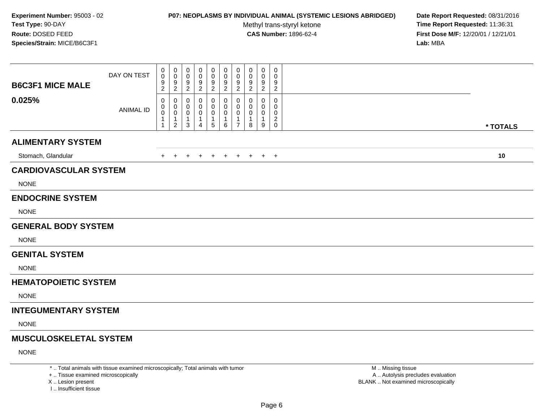## **P07: NEOPLASMS BY INDIVIDUAL ANIMAL (SYSTEMIC LESIONS ABRIDGED) Date Report Requested:** 08/31/2016

Methyl trans-styryl ketone<br>CAS Number: 1896-62-4

 **Time Report Requested:** 11:36:31 **First Dose M/F:** 12/20/01 / 12/21/01<br>Lab: MBA **Lab:** MBA

| <b>B6C3F1 MICE MALE</b>       | DAY ON TEST      | 0<br>0<br>9<br>$\boldsymbol{2}$          | 0<br>$\mathbf 0$<br>$9\,$<br>$\sqrt{2}$                                     | 0<br>0<br>9<br>$\sqrt{2}$ | 0<br>0<br>9<br>$\boldsymbol{2}$             | 0<br>0<br>9<br>$\overline{c}$ | 0<br>0<br>9<br>$\overline{2}$   | 0<br>$\mathbf 0$<br>9<br>$\sqrt{2}$                              | 0<br>0<br>9<br>$\overline{c}$ | $\mathbf 0$<br>0<br>$9\,$<br>$\overline{2}$ | $\pmb{0}$<br>0<br>9<br>$\overline{c}$        |          |
|-------------------------------|------------------|------------------------------------------|-----------------------------------------------------------------------------|---------------------------|---------------------------------------------|-------------------------------|---------------------------------|------------------------------------------------------------------|-------------------------------|---------------------------------------------|----------------------------------------------|----------|
| 0.025%                        | <b>ANIMAL ID</b> | 0<br>0<br>$\pmb{0}$<br>$\mathbf{1}$<br>1 | $\mathbf 0$<br>$\mathbf 0$<br>$\boldsymbol{0}$<br>$\mathbf 1$<br>$\sqrt{2}$ | 0<br>0<br>0<br>1<br>3     | 0<br>0<br>0<br>-1<br>$\boldsymbol{\Lambda}$ | 0<br>0<br>$\pmb{0}$<br>1<br>5 | 0<br>0<br>$\mathbf 0$<br>1<br>6 | $\mathbf 0$<br>$\mathbf 0$<br>0<br>$\mathbf 1$<br>$\overline{7}$ | 0<br>0<br>0<br>-1<br>8        | 0<br>0<br>0<br>$\mathbf 1$<br>9             | 0<br>0<br>0<br>$\overline{a}$<br>$\mathbf 0$ | * TOTALS |
| <b>ALIMENTARY SYSTEM</b>      |                  |                                          |                                                                             |                           |                                             |                               |                                 |                                                                  |                               |                                             |                                              |          |
| Stomach, Glandular            |                  | $+$                                      | $+$                                                                         | $\pm$                     |                                             | $+$                           | $+$                             | $+$                                                              | $+$                           |                                             | $+$ $+$                                      | 10       |
| <b>CARDIOVASCULAR SYSTEM</b>  |                  |                                          |                                                                             |                           |                                             |                               |                                 |                                                                  |                               |                                             |                                              |          |
| <b>NONE</b>                   |                  |                                          |                                                                             |                           |                                             |                               |                                 |                                                                  |                               |                                             |                                              |          |
| <b>ENDOCRINE SYSTEM</b>       |                  |                                          |                                                                             |                           |                                             |                               |                                 |                                                                  |                               |                                             |                                              |          |
| <b>NONE</b>                   |                  |                                          |                                                                             |                           |                                             |                               |                                 |                                                                  |                               |                                             |                                              |          |
| <b>GENERAL BODY SYSTEM</b>    |                  |                                          |                                                                             |                           |                                             |                               |                                 |                                                                  |                               |                                             |                                              |          |
| <b>NONE</b>                   |                  |                                          |                                                                             |                           |                                             |                               |                                 |                                                                  |                               |                                             |                                              |          |
| <b>GENITAL SYSTEM</b>         |                  |                                          |                                                                             |                           |                                             |                               |                                 |                                                                  |                               |                                             |                                              |          |
| <b>NONE</b>                   |                  |                                          |                                                                             |                           |                                             |                               |                                 |                                                                  |                               |                                             |                                              |          |
| <b>HEMATOPOIETIC SYSTEM</b>   |                  |                                          |                                                                             |                           |                                             |                               |                                 |                                                                  |                               |                                             |                                              |          |
| <b>NONE</b>                   |                  |                                          |                                                                             |                           |                                             |                               |                                 |                                                                  |                               |                                             |                                              |          |
| <b>INTEGUMENTARY SYSTEM</b>   |                  |                                          |                                                                             |                           |                                             |                               |                                 |                                                                  |                               |                                             |                                              |          |
| <b>NONE</b>                   |                  |                                          |                                                                             |                           |                                             |                               |                                 |                                                                  |                               |                                             |                                              |          |
| <b>MUSCULOSKELETAL SYSTEM</b> |                  |                                          |                                                                             |                           |                                             |                               |                                 |                                                                  |                               |                                             |                                              |          |
| <b>NONE</b>                   |                  |                                          |                                                                             |                           |                                             |                               |                                 |                                                                  |                               |                                             |                                              |          |
|                               |                  |                                          |                                                                             |                           |                                             |                               |                                 |                                                                  |                               |                                             |                                              |          |

\* .. Total animals with tissue examined microscopically; Total animals with tumor

+ .. Tissue examined microscopically

X .. Lesion present

I .. Insufficient tissue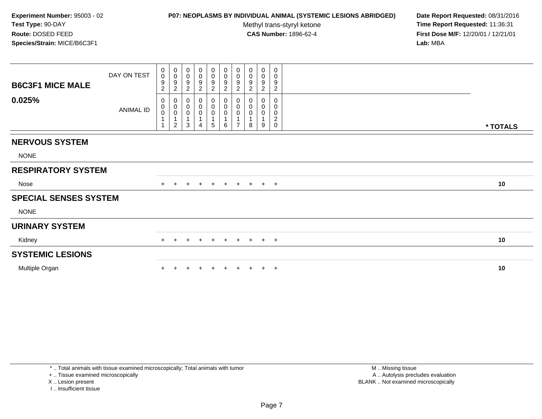## **P07: NEOPLASMS BY INDIVIDUAL ANIMAL (SYSTEMIC LESIONS ABRIDGED) Date Report Requested:** 08/31/2016

Methyl trans-styryl ketone<br>CAS Number: 1896-62-4

 **Time Report Requested:** 11:36:31 **First Dose M/F:** 12/20/01 / 12/21/01<br>Lab: MBA **Lab:** MBA

| <b>B6C3F1 MICE MALE</b>      | DAY ON TEST | 0<br>$\mathsf 0$<br>9<br>$\overline{c}$ | $\,0\,$<br>$\mathbf 0$<br>$\boldsymbol{9}$<br>$\overline{c}$             | 0<br>$\mathbf 0$<br>9<br>$\overline{c}$ | 0<br>$\pmb{0}$<br>$\boldsymbol{9}$<br>$\overline{c}$ | $\begin{smallmatrix}0\0\0\9\end{smallmatrix}$<br>$\sqrt{2}$ | $\begin{array}{c} 0 \\ 0 \\ 9 \\ 2 \end{array}$                            | $\begin{smallmatrix}0\\0\\9\end{smallmatrix}$<br>$\overline{2}$                      | 0<br>$\pmb{0}$<br>9<br>$\overline{c}$ | $\pmb{0}$<br>$\pmb{0}$<br>$\boldsymbol{9}$<br>$\overline{c}$ | 0<br>0<br>9<br>$\overline{c}$                |          |
|------------------------------|-------------|-----------------------------------------|--------------------------------------------------------------------------|-----------------------------------------|------------------------------------------------------|-------------------------------------------------------------|----------------------------------------------------------------------------|--------------------------------------------------------------------------------------|---------------------------------------|--------------------------------------------------------------|----------------------------------------------|----------|
| 0.025%                       | ANIMAL ID   | 0<br>$_{\rm 0}^{\rm 0}$<br>1            | $\boldsymbol{0}$<br>$_{\rm 0}^{\rm 0}$<br>$\mathbf{1}$<br>$\overline{c}$ | 0<br>$\mathbf 0$<br>$\pmb{0}$<br>1<br>3 | 0<br>$\pmb{0}$<br>0<br>$\mathbf 1$<br>$\overline{4}$ | $\boldsymbol{0}$<br>$_{\rm 0}^{\rm 0}$<br>5                 | $\begin{smallmatrix}0\0\0\0\end{smallmatrix}$<br>$\overline{1}$<br>$\,6\,$ | $\begin{smallmatrix} 0\\0\\0\\0 \end{smallmatrix}$<br>$\mathbf{1}$<br>$\overline{7}$ | 0<br>$\pmb{0}$<br>0<br>8              | $\pmb{0}$<br>$\pmb{0}$<br>9                                  | 0<br>0<br>0<br>$\overline{c}$<br>$\mathbf 0$ | * TOTALS |
| <b>NERVOUS SYSTEM</b>        |             |                                         |                                                                          |                                         |                                                      |                                                             |                                                                            |                                                                                      |                                       |                                                              |                                              |          |
| <b>NONE</b>                  |             |                                         |                                                                          |                                         |                                                      |                                                             |                                                                            |                                                                                      |                                       |                                                              |                                              |          |
| <b>RESPIRATORY SYSTEM</b>    |             |                                         |                                                                          |                                         |                                                      |                                                             |                                                                            |                                                                                      |                                       |                                                              |                                              |          |
| Nose                         |             | $+$                                     |                                                                          | $\pm$                                   | $+$                                                  | $+$                                                         | $+$                                                                        | $+$                                                                                  | $+$                                   |                                                              | $+$ $+$                                      | 10       |
| <b>SPECIAL SENSES SYSTEM</b> |             |                                         |                                                                          |                                         |                                                      |                                                             |                                                                            |                                                                                      |                                       |                                                              |                                              |          |
| <b>NONE</b>                  |             |                                         |                                                                          |                                         |                                                      |                                                             |                                                                            |                                                                                      |                                       |                                                              |                                              |          |
| <b>URINARY SYSTEM</b>        |             |                                         |                                                                          |                                         |                                                      |                                                             |                                                                            |                                                                                      |                                       |                                                              |                                              |          |
| Kidney                       |             | $+$                                     | $\pm$                                                                    | $\ddot{}$                               | $+$                                                  | $+$                                                         | $+$                                                                        | $+$                                                                                  | $+$                                   |                                                              | $+$ $+$                                      | 10       |
| <b>SYSTEMIC LESIONS</b>      |             |                                         |                                                                          |                                         |                                                      |                                                             |                                                                            |                                                                                      |                                       |                                                              |                                              |          |
| Multiple Organ               |             |                                         |                                                                          |                                         |                                                      |                                                             |                                                                            |                                                                                      |                                       |                                                              | $+$                                          | 10       |

\* .. Total animals with tissue examined microscopically; Total animals with tumor

+ .. Tissue examined microscopically

X .. Lesion present

I .. Insufficient tissue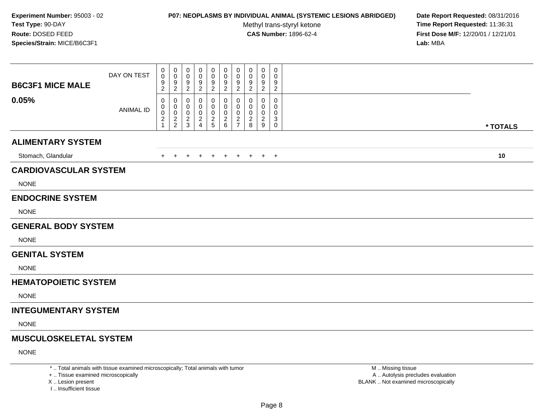## **P07: NEOPLASMS BY INDIVIDUAL ANIMAL (SYSTEMIC LESIONS ABRIDGED) Date Report Requested:** 08/31/2016

Methyl trans-styryl ketone<br>CAS Number: 1896-62-4

 **Time Report Requested:** 11:36:31 **First Dose M/F:** 12/20/01 / 12/21/01<br>Lab: MBA **Lab:** MBA

| <b>B6C3F1 MICE MALE</b>       | DAY ON TEST      | 0<br>$\pmb{0}$<br>9<br>$\overline{c}$ | 0<br>0<br>9<br>$\overline{c}$        | 0<br>$\mathbf 0$<br>9<br>$\sqrt{2}$ | 0<br>0<br>9<br>$\boldsymbol{2}$                 | 0<br>0<br>9<br>$\overline{c}$      | 0<br>0<br>9<br>$\overline{2}$ | 0<br>$\mathbf 0$<br>9<br>$\sqrt{2}$                                             | 0<br>0<br>9<br>$\overline{c}$      | $\mathbf 0$<br>0<br>9<br>$\sqrt{2}$          | 0<br>$\mathbf 0$<br>9<br>$\overline{c}$                 |          |
|-------------------------------|------------------|---------------------------------------|--------------------------------------|-------------------------------------|-------------------------------------------------|------------------------------------|-------------------------------|---------------------------------------------------------------------------------|------------------------------------|----------------------------------------------|---------------------------------------------------------|----------|
| 0.05%                         | <b>ANIMAL ID</b> | 0<br>0<br>$\pmb{0}$<br>$\frac{2}{1}$  | 0<br>0<br>$\pmb{0}$<br>$\frac{2}{2}$ | 0<br>0<br>0<br>$\frac{2}{3}$        | 0<br>0<br>0<br>$\overline{a}$<br>$\overline{4}$ | 0<br>0<br>$\pmb{0}$<br>$rac{2}{5}$ | 0<br>0<br>0<br>$\frac{2}{6}$  | $\mathbf 0$<br>$\mathbf 0$<br>$\mathbf 0$<br>$\boldsymbol{2}$<br>$\overline{7}$ | 0<br>0<br>0<br>$\overline{2}$<br>8 | $\mathbf 0$<br>0<br>0<br>$\overline{2}$<br>9 | 0<br>0<br>0<br>$\ensuremath{\mathsf{3}}$<br>$\mathbf 0$ | * TOTALS |
| <b>ALIMENTARY SYSTEM</b>      |                  |                                       |                                      |                                     |                                                 |                                    |                               |                                                                                 |                                    |                                              |                                                         |          |
| Stomach, Glandular            |                  | +                                     | $\pm$                                |                                     |                                                 | $^{+}$                             | $+$                           | $+$                                                                             | $+$                                |                                              | $+$ $+$                                                 | 10       |
| <b>CARDIOVASCULAR SYSTEM</b>  |                  |                                       |                                      |                                     |                                                 |                                    |                               |                                                                                 |                                    |                                              |                                                         |          |
| <b>NONE</b>                   |                  |                                       |                                      |                                     |                                                 |                                    |                               |                                                                                 |                                    |                                              |                                                         |          |
| <b>ENDOCRINE SYSTEM</b>       |                  |                                       |                                      |                                     |                                                 |                                    |                               |                                                                                 |                                    |                                              |                                                         |          |
| <b>NONE</b>                   |                  |                                       |                                      |                                     |                                                 |                                    |                               |                                                                                 |                                    |                                              |                                                         |          |
| <b>GENERAL BODY SYSTEM</b>    |                  |                                       |                                      |                                     |                                                 |                                    |                               |                                                                                 |                                    |                                              |                                                         |          |
| <b>NONE</b>                   |                  |                                       |                                      |                                     |                                                 |                                    |                               |                                                                                 |                                    |                                              |                                                         |          |
| <b>GENITAL SYSTEM</b>         |                  |                                       |                                      |                                     |                                                 |                                    |                               |                                                                                 |                                    |                                              |                                                         |          |
| <b>NONE</b>                   |                  |                                       |                                      |                                     |                                                 |                                    |                               |                                                                                 |                                    |                                              |                                                         |          |
| <b>HEMATOPOIETIC SYSTEM</b>   |                  |                                       |                                      |                                     |                                                 |                                    |                               |                                                                                 |                                    |                                              |                                                         |          |
| <b>NONE</b>                   |                  |                                       |                                      |                                     |                                                 |                                    |                               |                                                                                 |                                    |                                              |                                                         |          |
| <b>INTEGUMENTARY SYSTEM</b>   |                  |                                       |                                      |                                     |                                                 |                                    |                               |                                                                                 |                                    |                                              |                                                         |          |
| <b>NONE</b>                   |                  |                                       |                                      |                                     |                                                 |                                    |                               |                                                                                 |                                    |                                              |                                                         |          |
| <b>MUSCULOSKELETAL SYSTEM</b> |                  |                                       |                                      |                                     |                                                 |                                    |                               |                                                                                 |                                    |                                              |                                                         |          |
| <b>NONE</b>                   |                  |                                       |                                      |                                     |                                                 |                                    |                               |                                                                                 |                                    |                                              |                                                         |          |
|                               |                  |                                       |                                      |                                     |                                                 |                                    |                               |                                                                                 |                                    |                                              |                                                         |          |

\* .. Total animals with tissue examined microscopically; Total animals with tumor

+ .. Tissue examined microscopically

X .. Lesion present

I .. Insufficient tissue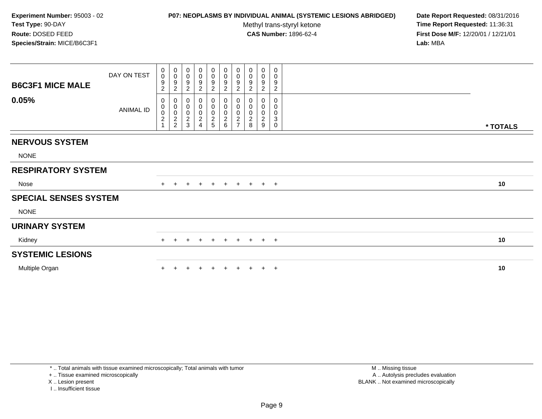## **P07: NEOPLASMS BY INDIVIDUAL ANIMAL (SYSTEMIC LESIONS ABRIDGED) Date Report Requested:** 08/31/2016

Methyl trans-styryl ketone<br>CAS Number: 1896-62-4

 **Time Report Requested:** 11:36:31 **First Dose M/F:** 12/20/01 / 12/21/01<br>Lab: MBA **Lab:** MBA

| <b>B6C3F1 MICE MALE</b>      | DAY ON TEST | 0<br>$\pmb{0}$<br>9<br>$\overline{c}$                                       | $\pmb{0}$<br>$\mathbf 0$<br>$\boldsymbol{9}$<br>$\overline{c}$ | 0<br>$\mathbf 0$<br>9<br>$\overline{c}$        | 0<br>$\pmb{0}$<br>$\boldsymbol{9}$<br>$\overline{c}$            | $\begin{smallmatrix}0\0\0\9\end{smallmatrix}$<br>$\boldsymbol{2}$ | $\begin{array}{c} 0 \\ 0 \\ 9 \\ 2 \end{array}$ | $\begin{smallmatrix}0\\0\\9\end{smallmatrix}$<br>$\overline{2}$ | 0<br>0<br>9<br>$\overline{c}$                | $\pmb{0}$<br>$\pmb{0}$<br>$\boldsymbol{9}$<br>$\overline{c}$ | 0<br>0<br>9<br>$\overline{c}$   |          |
|------------------------------|-------------|-----------------------------------------------------------------------------|----------------------------------------------------------------|------------------------------------------------|-----------------------------------------------------------------|-------------------------------------------------------------------|-------------------------------------------------|-----------------------------------------------------------------|----------------------------------------------|--------------------------------------------------------------|---------------------------------|----------|
| 0.05%                        | ANIMAL ID   | 0<br>$\pmb{0}$<br>$\ddot{\mathbf{0}}$<br>$\boldsymbol{2}$<br>$\overline{A}$ | $\pmb{0}$<br>$\mathbf 0$<br>$\frac{0}{2}$                      | 0<br>$\mathbf 0$<br>$\pmb{0}$<br>$\frac{2}{3}$ | 0<br>$\pmb{0}$<br>$\pmb{0}$<br>$\overline{c}$<br>$\overline{4}$ | 0<br>$_{\rm 0}^{\rm 0}$<br>$\frac{2}{5}$                          |                                                 | 0<br>$\begin{matrix} 0 \\ 0 \\ 2 \\ 7 \end{matrix}$             | 0<br>$\pmb{0}$<br>0<br>$\boldsymbol{2}$<br>8 | $\pmb{0}$<br>$\pmb{0}$<br>$\boldsymbol{2}$<br>9              | 0<br>0<br>0<br>3<br>$\mathbf 0$ | * TOTALS |
| <b>NERVOUS SYSTEM</b>        |             |                                                                             |                                                                |                                                |                                                                 |                                                                   |                                                 |                                                                 |                                              |                                                              |                                 |          |
| <b>NONE</b>                  |             |                                                                             |                                                                |                                                |                                                                 |                                                                   |                                                 |                                                                 |                                              |                                                              |                                 |          |
| <b>RESPIRATORY SYSTEM</b>    |             |                                                                             |                                                                |                                                |                                                                 |                                                                   |                                                 |                                                                 |                                              |                                                              |                                 |          |
| Nose                         |             | $+$                                                                         |                                                                | $\pm$                                          | $+$                                                             | $\ddot{}$                                                         | $+$                                             | $+$                                                             | $+$                                          |                                                              | $+$ $+$                         | 10       |
| <b>SPECIAL SENSES SYSTEM</b> |             |                                                                             |                                                                |                                                |                                                                 |                                                                   |                                                 |                                                                 |                                              |                                                              |                                 |          |
| <b>NONE</b>                  |             |                                                                             |                                                                |                                                |                                                                 |                                                                   |                                                 |                                                                 |                                              |                                                              |                                 |          |
| <b>URINARY SYSTEM</b>        |             |                                                                             |                                                                |                                                |                                                                 |                                                                   |                                                 |                                                                 |                                              |                                                              |                                 |          |
| Kidney                       |             | $+$                                                                         | $\pm$                                                          | $\ddot{}$                                      | $\pm$                                                           | $+$                                                               | $+$                                             | $+$                                                             | $+$                                          |                                                              | $+$ $+$                         | 10       |
| <b>SYSTEMIC LESIONS</b>      |             |                                                                             |                                                                |                                                |                                                                 |                                                                   |                                                 |                                                                 |                                              |                                                              |                                 |          |
| Multiple Organ               |             |                                                                             |                                                                |                                                |                                                                 |                                                                   |                                                 |                                                                 |                                              |                                                              | $+$                             | 10       |

\* .. Total animals with tissue examined microscopically; Total animals with tumor

+ .. Tissue examined microscopically

X .. Lesion present

I .. Insufficient tissue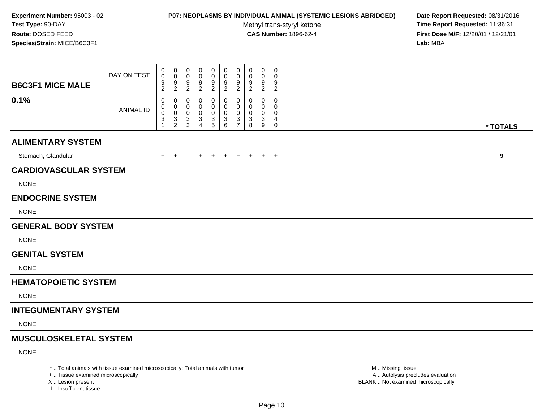#### **P07: NEOPLASMS BY INDIVIDUAL ANIMAL (SYSTEMIC LESIONS ABRIDGED) Date Report Requested:** 08/31/2016

Methyl trans-styryl ketone<br>CAS Number: 1896-62-4

 **Time Report Requested:** 11:36:31 **First Dose M/F:** 12/20/01 / 12/21/01<br>Lab: MBA **Lab:** MBA

| <b>B6C3F1 MICE MALE</b>       | DAY ON TEST      | 0<br>0<br>9<br>$\overline{c}$                 | 0<br>$\mathbf 0$<br>$\boldsymbol{9}$<br>$\boldsymbol{2}$ | 0<br>0<br>9<br>$\overline{c}$ | 0<br>0<br>9<br>$\boldsymbol{2}$ | 0<br>0<br>9<br>$\boldsymbol{2}$                     | 0<br>0<br>9<br>$\overline{a}$    | 0<br>$\mathbf 0$<br>9<br>$\sqrt{2}$                             | 0<br>$\Omega$<br>9<br>$\overline{c}$ | $\mathbf 0$<br>0<br>9<br>$\overline{2}$         | $\pmb{0}$<br>0<br>9<br>$\overline{c}$ |          |
|-------------------------------|------------------|-----------------------------------------------|----------------------------------------------------------|-------------------------------|---------------------------------|-----------------------------------------------------|----------------------------------|-----------------------------------------------------------------|--------------------------------------|-------------------------------------------------|---------------------------------------|----------|
| 0.1%                          | <b>ANIMAL ID</b> | 0<br>0<br>0<br>$\ensuremath{\mathsf{3}}$<br>1 | $\mathbf 0$<br>0<br>$\mathbf 0$<br>$\sqrt{3}$<br>2       | 0<br>0<br>0<br>3<br>3         | 0<br>0<br>0<br>3<br>$\Delta$    | 0<br>0<br>$\,0\,$<br>$\ensuremath{\mathsf{3}}$<br>5 | 0<br>0<br>0<br>$\mathbf{3}$<br>6 | $\mathbf 0$<br>0<br>$\mathbf 0$<br>$\sqrt{3}$<br>$\overline{7}$ | 0<br>0<br>0<br>3<br>8                | $\Omega$<br>0<br>$\mathbf 0$<br>$\sqrt{3}$<br>9 | 0<br>0<br>0<br>4<br>0                 | * TOTALS |
| <b>ALIMENTARY SYSTEM</b>      |                  |                                               |                                                          |                               |                                 |                                                     |                                  |                                                                 |                                      |                                                 |                                       |          |
| Stomach, Glandular            |                  | $+$                                           | $+$                                                      |                               | $\ddot{}$                       | $^{+}$                                              | $\pm$                            | $+$                                                             | $+$                                  |                                                 | $+$ $+$                               | 9        |
| <b>CARDIOVASCULAR SYSTEM</b>  |                  |                                               |                                                          |                               |                                 |                                                     |                                  |                                                                 |                                      |                                                 |                                       |          |
| <b>NONE</b>                   |                  |                                               |                                                          |                               |                                 |                                                     |                                  |                                                                 |                                      |                                                 |                                       |          |
| <b>ENDOCRINE SYSTEM</b>       |                  |                                               |                                                          |                               |                                 |                                                     |                                  |                                                                 |                                      |                                                 |                                       |          |
| <b>NONE</b>                   |                  |                                               |                                                          |                               |                                 |                                                     |                                  |                                                                 |                                      |                                                 |                                       |          |
| <b>GENERAL BODY SYSTEM</b>    |                  |                                               |                                                          |                               |                                 |                                                     |                                  |                                                                 |                                      |                                                 |                                       |          |
| <b>NONE</b>                   |                  |                                               |                                                          |                               |                                 |                                                     |                                  |                                                                 |                                      |                                                 |                                       |          |
| <b>GENITAL SYSTEM</b>         |                  |                                               |                                                          |                               |                                 |                                                     |                                  |                                                                 |                                      |                                                 |                                       |          |
| <b>NONE</b>                   |                  |                                               |                                                          |                               |                                 |                                                     |                                  |                                                                 |                                      |                                                 |                                       |          |
| <b>HEMATOPOIETIC SYSTEM</b>   |                  |                                               |                                                          |                               |                                 |                                                     |                                  |                                                                 |                                      |                                                 |                                       |          |
| <b>NONE</b>                   |                  |                                               |                                                          |                               |                                 |                                                     |                                  |                                                                 |                                      |                                                 |                                       |          |
| <b>INTEGUMENTARY SYSTEM</b>   |                  |                                               |                                                          |                               |                                 |                                                     |                                  |                                                                 |                                      |                                                 |                                       |          |
| <b>NONE</b>                   |                  |                                               |                                                          |                               |                                 |                                                     |                                  |                                                                 |                                      |                                                 |                                       |          |
| <b>MUSCULOSKELETAL SYSTEM</b> |                  |                                               |                                                          |                               |                                 |                                                     |                                  |                                                                 |                                      |                                                 |                                       |          |
| <b>NONE</b>                   |                  |                                               |                                                          |                               |                                 |                                                     |                                  |                                                                 |                                      |                                                 |                                       |          |

\* .. Total animals with tissue examined microscopically; Total animals with tumor

+ .. Tissue examined microscopically

X .. Lesion present

I .. Insufficient tissue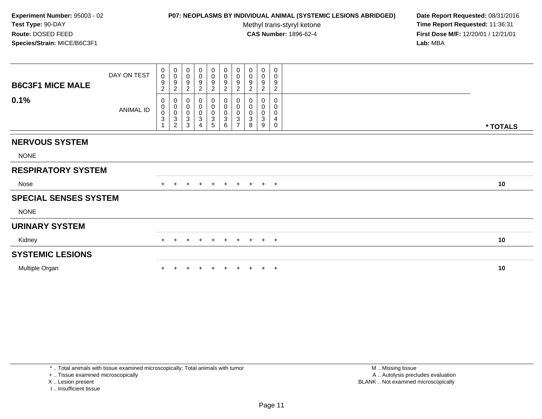## **P07: NEOPLASMS BY INDIVIDUAL ANIMAL (SYSTEMIC LESIONS ABRIDGED) Date Report Requested:** 08/31/2016

Methyl trans-styryl ketone<br>CAS Number: 1896-62-4

 **Time Report Requested:** 11:36:31 **First Dose M/F:** 12/20/01 / 12/21/01<br>Lab: MBA **Lab:** MBA

| <b>B6C3F1 MICE MALE</b>      | DAY ON TEST | 0<br>$\boldsymbol{0}$<br>9<br>$\overline{c}$                                | $_{\rm 0}^{\rm 0}$<br>$\boldsymbol{9}$<br>$\boldsymbol{2}$ | $_{\rm 0}^{\rm 0}$<br>$\boldsymbol{9}$<br>$\overline{2}$ | 0<br>0<br>9<br>$\boldsymbol{2}$ | $\begin{array}{c} 0 \\ 0 \\ 9 \\ 2 \end{array}$          | $\begin{array}{c} 0 \\ 0 \\ 9 \\ 2 \end{array}$ | $\begin{smallmatrix} 0\\0 \end{smallmatrix}$<br>$\boldsymbol{9}$<br>$\sqrt{2}$ | 0<br>$\mathbf 0$<br>9<br>$\overline{c}$            | $_{\rm 0}^{\rm 0}$<br>$\boldsymbol{9}$<br>$\overline{2}$ | 0<br>0<br>9<br>$\overline{c}$           |          |
|------------------------------|-------------|-----------------------------------------------------------------------------|------------------------------------------------------------|----------------------------------------------------------|---------------------------------|----------------------------------------------------------|-------------------------------------------------|--------------------------------------------------------------------------------|----------------------------------------------------|----------------------------------------------------------|-----------------------------------------|----------|
| 0.1%                         | ANIMAL ID   | $\mathbf 0$<br>$\mathbf 0$<br>$\boldsymbol{0}$<br>$\ensuremath{\mathsf{3}}$ | $\pmb{0}$<br>$\pmb{0}$<br>$\frac{0}{3}$<br>$\sqrt{2}$      | 0<br>$\mathbf 0$<br>$\frac{0}{3}$<br>3                   | 0<br>0<br>0<br>3<br>4           | $\boldsymbol{0}$<br>$\overline{0}$<br>$\frac{0}{3}$<br>5 | 0<br>$\mathsf{O}\xspace$<br>$\frac{0}{3}$<br>6  | $\pmb{0}$<br>$\pmb{0}$<br>$\pmb{0}$<br>$\overline{3}$<br>$\overline{7}$        | 0<br>$\pmb{0}$<br>$\mathbf 0$<br>$\mathbf{3}$<br>8 | 0<br>0<br>0<br>3<br>9                                    | 0<br>0<br>$\pmb{0}$<br>4<br>$\mathbf 0$ | * TOTALS |
| <b>NERVOUS SYSTEM</b>        |             |                                                                             |                                                            |                                                          |                                 |                                                          |                                                 |                                                                                |                                                    |                                                          |                                         |          |
| <b>NONE</b>                  |             |                                                                             |                                                            |                                                          |                                 |                                                          |                                                 |                                                                                |                                                    |                                                          |                                         |          |
| <b>RESPIRATORY SYSTEM</b>    |             |                                                                             |                                                            |                                                          |                                 |                                                          |                                                 |                                                                                |                                                    |                                                          |                                         |          |
| Nose                         |             | $+$                                                                         |                                                            | $\ddot{}$                                                | $\ddot{}$                       | $\overline{+}$                                           | $+$                                             | $+$                                                                            | $+$                                                | $+$ $+$                                                  |                                         | 10       |
| <b>SPECIAL SENSES SYSTEM</b> |             |                                                                             |                                                            |                                                          |                                 |                                                          |                                                 |                                                                                |                                                    |                                                          |                                         |          |
| <b>NONE</b>                  |             |                                                                             |                                                            |                                                          |                                 |                                                          |                                                 |                                                                                |                                                    |                                                          |                                         |          |
| <b>URINARY SYSTEM</b>        |             |                                                                             |                                                            |                                                          |                                 |                                                          |                                                 |                                                                                |                                                    |                                                          |                                         |          |
| Kidney                       |             | $+$                                                                         | $+$                                                        | $+$                                                      | $+$                             | $+$                                                      | $+$                                             | $+$                                                                            |                                                    | $+$ $+$ $+$                                              |                                         | 10       |
| <b>SYSTEMIC LESIONS</b>      |             |                                                                             |                                                            |                                                          |                                 |                                                          |                                                 |                                                                                |                                                    |                                                          |                                         |          |
| Multiple Organ               |             |                                                                             |                                                            |                                                          |                                 |                                                          |                                                 |                                                                                |                                                    |                                                          | $^+$                                    | 10       |

\* .. Total animals with tissue examined microscopically; Total animals with tumor

+ .. Tissue examined microscopically

X .. Lesion present

I .. Insufficient tissue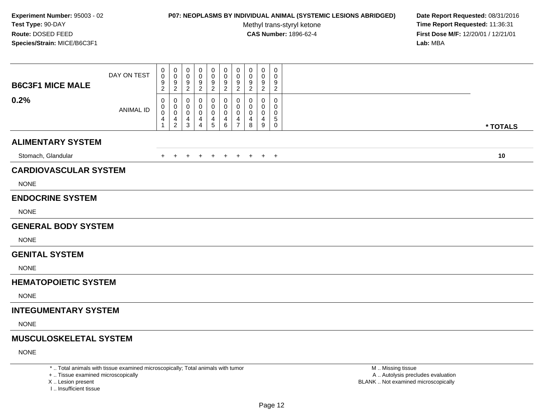## **P07: NEOPLASMS BY INDIVIDUAL ANIMAL (SYSTEMIC LESIONS ABRIDGED) Date Report Requested:** 08/31/2016

Methyl trans-styryl ketone<br>CAS Number: 1896-62-4

 **Time Report Requested:** 11:36:31 **First Dose M/F:** 12/20/01 / 12/21/01<br>Lab: MBA **Lab:** MBA

| <b>B6C3F1 MICE MALE</b>       | DAY ON TEST      | $\pmb{0}$<br>$\mathbf 0$<br>9<br>$\overline{c}$    | 0<br>0<br>9<br>$\overline{a}$              | 0<br>$\mathbf 0$<br>9<br>$\overline{2}$ | 0<br>0<br>9<br>$\overline{c}$              | 0<br>0<br>9<br>$\boldsymbol{2}$            | 0<br>0<br>9<br>$\overline{2}$                   | $\pmb{0}$<br>$\mathbf 0$<br>9<br>$\overline{2}$        | $\mathbf 0$<br>0<br>9<br>$\overline{c}$ | $\mathbf 0$<br>$\mathbf 0$<br>9<br>$\overline{2}$ | $\pmb{0}$<br>$\mathbf 0$<br>9<br>$\overline{c}$ |          |
|-------------------------------|------------------|----------------------------------------------------|--------------------------------------------|-----------------------------------------|--------------------------------------------|--------------------------------------------|-------------------------------------------------|--------------------------------------------------------|-----------------------------------------|---------------------------------------------------|-------------------------------------------------|----------|
| 0.2%                          | <b>ANIMAL ID</b> | 0<br>$\pmb{0}$<br>$\mathbf 0$<br>4<br>$\mathbf{1}$ | 0<br>0<br>$\pmb{0}$<br>4<br>$\overline{2}$ | 0<br>0<br>0<br>4<br>3                   | 0<br>0<br>0<br>4<br>$\boldsymbol{\Lambda}$ | 0<br>0<br>$\pmb{0}$<br>4<br>$\overline{5}$ | 0<br>$\overline{0}$<br>$\overline{0}$<br>4<br>6 | $\mathbf 0$<br>0<br>$\mathbf 0$<br>4<br>$\overline{7}$ | 0<br>0<br>0<br>4<br>8                   | 0<br>0<br>0<br>4<br>9                             | 0<br>0<br>0<br>5<br>0                           | * TOTALS |
| <b>ALIMENTARY SYSTEM</b>      |                  |                                                    |                                            |                                         |                                            |                                            |                                                 |                                                        |                                         |                                                   |                                                 |          |
| Stomach, Glandular            |                  | +                                                  |                                            |                                         |                                            | $^{+}$                                     | $+$                                             | $+$                                                    | $+$                                     |                                                   | $+$ $+$                                         | 10       |
| <b>CARDIOVASCULAR SYSTEM</b>  |                  |                                                    |                                            |                                         |                                            |                                            |                                                 |                                                        |                                         |                                                   |                                                 |          |
| <b>NONE</b>                   |                  |                                                    |                                            |                                         |                                            |                                            |                                                 |                                                        |                                         |                                                   |                                                 |          |
| <b>ENDOCRINE SYSTEM</b>       |                  |                                                    |                                            |                                         |                                            |                                            |                                                 |                                                        |                                         |                                                   |                                                 |          |
| <b>NONE</b>                   |                  |                                                    |                                            |                                         |                                            |                                            |                                                 |                                                        |                                         |                                                   |                                                 |          |
| <b>GENERAL BODY SYSTEM</b>    |                  |                                                    |                                            |                                         |                                            |                                            |                                                 |                                                        |                                         |                                                   |                                                 |          |
| <b>NONE</b>                   |                  |                                                    |                                            |                                         |                                            |                                            |                                                 |                                                        |                                         |                                                   |                                                 |          |
| <b>GENITAL SYSTEM</b>         |                  |                                                    |                                            |                                         |                                            |                                            |                                                 |                                                        |                                         |                                                   |                                                 |          |
| <b>NONE</b>                   |                  |                                                    |                                            |                                         |                                            |                                            |                                                 |                                                        |                                         |                                                   |                                                 |          |
| <b>HEMATOPOIETIC SYSTEM</b>   |                  |                                                    |                                            |                                         |                                            |                                            |                                                 |                                                        |                                         |                                                   |                                                 |          |
| <b>NONE</b>                   |                  |                                                    |                                            |                                         |                                            |                                            |                                                 |                                                        |                                         |                                                   |                                                 |          |
| <b>INTEGUMENTARY SYSTEM</b>   |                  |                                                    |                                            |                                         |                                            |                                            |                                                 |                                                        |                                         |                                                   |                                                 |          |
| <b>NONE</b>                   |                  |                                                    |                                            |                                         |                                            |                                            |                                                 |                                                        |                                         |                                                   |                                                 |          |
| <b>MUSCULOSKELETAL SYSTEM</b> |                  |                                                    |                                            |                                         |                                            |                                            |                                                 |                                                        |                                         |                                                   |                                                 |          |
| <b>NONE</b>                   |                  |                                                    |                                            |                                         |                                            |                                            |                                                 |                                                        |                                         |                                                   |                                                 |          |
|                               |                  |                                                    |                                            |                                         |                                            |                                            |                                                 |                                                        |                                         |                                                   |                                                 |          |

\* .. Total animals with tissue examined microscopically; Total animals with tumor

+ .. Tissue examined microscopically

X .. Lesion present

I .. Insufficient tissue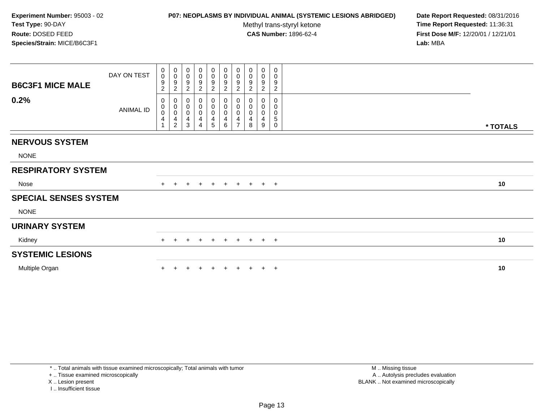## **P07: NEOPLASMS BY INDIVIDUAL ANIMAL (SYSTEMIC LESIONS ABRIDGED) Date Report Requested:** 08/31/2016

Methyl trans-styryl ketone<br>CAS Number: 1896-62-4

 **Time Report Requested:** 11:36:31 **First Dose M/F:** 12/20/01 / 12/21/01<br>Lab: MBA **Lab:** MBA

| <b>B6C3F1 MICE MALE</b>      | DAY ON TEST | 0<br>$\mathsf 0$<br>9<br>$\overline{c}$    | $\,0\,$<br>$\mathbf 0$<br>$\boldsymbol{9}$<br>$\overline{c}$                    | 0<br>$\mathbf 0$<br>9<br>$\overline{c}$ | 0<br>$\pmb{0}$<br>$\boldsymbol{9}$<br>$\overline{2}$ | $\begin{smallmatrix}0\0\0\9\end{smallmatrix}$<br>$\boldsymbol{2}$ | $\begin{array}{c} 0 \\ 0 \\ 9 \\ 2 \end{array}$                                     | $\begin{smallmatrix}0\\0\\9\end{smallmatrix}$<br>$\overline{2}$ | 0<br>$\pmb{0}$<br>9<br>$\overline{c}$ | $\pmb{0}$<br>$\pmb{0}$<br>$\boldsymbol{9}$<br>$\overline{c}$ | 0<br>0<br>9<br>$\overline{c}$ |          |
|------------------------------|-------------|--------------------------------------------|---------------------------------------------------------------------------------|-----------------------------------------|------------------------------------------------------|-------------------------------------------------------------------|-------------------------------------------------------------------------------------|-----------------------------------------------------------------|---------------------------------------|--------------------------------------------------------------|-------------------------------|----------|
| 0.2%                         | ANIMAL ID   | 0<br>$\pmb{0}$<br>$\ddot{\mathbf{0}}$<br>4 | $\boldsymbol{0}$<br>$\pmb{0}$<br>$\overline{0}$<br>$\overline{4}$<br>$\sqrt{2}$ | 0<br>$\mathbf 0$<br>$\pmb{0}$<br>4<br>3 | 0<br>$\pmb{0}$<br>$\pmb{0}$<br>4<br>$\overline{4}$   | 0<br>$_{\rm 0}^{\rm 0}$<br>$\overline{\mathbf{4}}$<br>5           | $\begin{smallmatrix}0\0\0\0\end{smallmatrix}$<br>$\overline{\mathbf{4}}$<br>$\,6\,$ | 0<br>$\overline{0}$<br>$\frac{4}{7}$                            | 0<br>$\pmb{0}$<br>0<br>4<br>8         | $\pmb{0}$<br>$\pmb{0}$<br>4<br>9                             | 0<br>0<br>0<br>5<br>$\Omega$  | * TOTALS |
| <b>NERVOUS SYSTEM</b>        |             |                                            |                                                                                 |                                         |                                                      |                                                                   |                                                                                     |                                                                 |                                       |                                                              |                               |          |
| <b>NONE</b>                  |             |                                            |                                                                                 |                                         |                                                      |                                                                   |                                                                                     |                                                                 |                                       |                                                              |                               |          |
| <b>RESPIRATORY SYSTEM</b>    |             |                                            |                                                                                 |                                         |                                                      |                                                                   |                                                                                     |                                                                 |                                       |                                                              |                               |          |
| Nose                         |             | $+$                                        |                                                                                 | $\pm$                                   | $+$                                                  | $\ddot{}$                                                         | $+$                                                                                 | $+$                                                             | $+$                                   | $+$ $+$                                                      |                               | 10       |
| <b>SPECIAL SENSES SYSTEM</b> |             |                                            |                                                                                 |                                         |                                                      |                                                                   |                                                                                     |                                                                 |                                       |                                                              |                               |          |
| <b>NONE</b>                  |             |                                            |                                                                                 |                                         |                                                      |                                                                   |                                                                                     |                                                                 |                                       |                                                              |                               |          |
| <b>URINARY SYSTEM</b>        |             |                                            |                                                                                 |                                         |                                                      |                                                                   |                                                                                     |                                                                 |                                       |                                                              |                               |          |
| Kidney                       |             | $+$                                        | $\pm$                                                                           | $\ddot{}$                               | $+$                                                  | $+$                                                               | $+$                                                                                 | $+$                                                             | $+$                                   |                                                              | $+$ $+$                       | 10       |
| <b>SYSTEMIC LESIONS</b>      |             |                                            |                                                                                 |                                         |                                                      |                                                                   |                                                                                     |                                                                 |                                       |                                                              |                               |          |
| Multiple Organ               |             |                                            |                                                                                 |                                         |                                                      |                                                                   |                                                                                     |                                                                 |                                       |                                                              | $+$                           | 10       |

\* .. Total animals with tissue examined microscopically; Total animals with tumor

+ .. Tissue examined microscopically

X .. Lesion present

I .. Insufficient tissue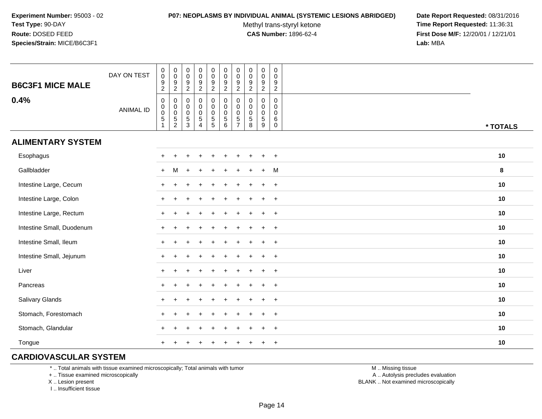#### **P07: NEOPLASMS BY INDIVIDUAL ANIMAL (SYSTEMIC LESIONS ABRIDGED) Date Report Requested:** 08/31/2016

Methyl trans-styryl ketone<br>CAS Number: 1896-62-4

 **Time Report Requested:** 11:36:31 **First Dose M/F:** 12/20/01 / 12/21/01<br>**Lab:** MBA **Lab:** MBA

| <b>B6C3F1 MICE MALE</b>   | DAY ON TEST      | $\pmb{0}$<br>$\pmb{0}$<br>$\frac{9}{2}$                | 0<br>$\pmb{0}$<br>$\frac{9}{2}$                                                  | $\pmb{0}$<br>$\mathbf 0$<br>$\frac{9}{2}$                     | $\pmb{0}$<br>$\frac{0}{9}$                                                | $\pmb{0}$<br>$\pmb{0}$<br>$\frac{9}{2}$   | $\mathbf 0$<br>$\mathbf 0$<br>$\frac{9}{2}$                                | 0<br>$\pmb{0}$<br>9<br>$\overline{c}$                  | $\pmb{0}$<br>$\mathsf{O}\xspace$<br>$\frac{9}{2}$   | $\pmb{0}$<br>$\pmb{0}$<br>$\frac{9}{2}$        | $\boldsymbol{0}$<br>$\mathbf 0$<br>$\frac{9}{2}$ |          |
|---------------------------|------------------|--------------------------------------------------------|----------------------------------------------------------------------------------|---------------------------------------------------------------|---------------------------------------------------------------------------|-------------------------------------------|----------------------------------------------------------------------------|--------------------------------------------------------|-----------------------------------------------------|------------------------------------------------|--------------------------------------------------|----------|
| 0.4%                      | <b>ANIMAL ID</b> | $\pmb{0}$<br>$_{\rm 0}^{\rm 0}$<br>$\overline{5}$<br>1 | 0<br>$\begin{smallmatrix}0\\0\end{smallmatrix}$<br>$\,$ 5 $\,$<br>$\overline{2}$ | $\mathbf 0$<br>$\mathbf 0$<br>$\mathbf 0$<br>$\,$ 5 $\,$<br>3 | $\mathbf 0$<br>$\pmb{0}$<br>$\pmb{0}$<br>$\overline{5}$<br>$\overline{4}$ | $\mathbf 0$<br>$\pmb{0}$<br>$\frac{0}{5}$ | $\mathbf 0$<br>$\mathbf 0$<br>$\mathbf 0$<br>$\sqrt{5}$<br>$6\phantom{1}6$ | $\mathbf 0$<br>0<br>$\mathbf 0$<br>5<br>$\overline{7}$ | $\mathbf 0$<br>0<br>$\mathbf 0$<br>$\,$ 5 $\,$<br>8 | 0<br>$\pmb{0}$<br>$\pmb{0}$<br>$\sqrt{5}$<br>9 | 0<br>0<br>$\mathbf 0$<br>$\,6\,$<br>$\mathbf 0$  | * TOTALS |
| <b>ALIMENTARY SYSTEM</b>  |                  |                                                        |                                                                                  |                                                               |                                                                           |                                           |                                                                            |                                                        |                                                     |                                                |                                                  |          |
| Esophagus                 |                  |                                                        |                                                                                  |                                                               |                                                                           |                                           |                                                                            |                                                        |                                                     |                                                | $+$                                              | 10       |
| Gallbladder               |                  | $+$                                                    | M                                                                                |                                                               |                                                                           |                                           |                                                                            |                                                        |                                                     | $\ddot{}$                                      | M                                                | 8        |
| Intestine Large, Cecum    |                  |                                                        |                                                                                  |                                                               |                                                                           |                                           |                                                                            |                                                        |                                                     |                                                | $\overline{+}$                                   | 10       |
| Intestine Large, Colon    |                  |                                                        |                                                                                  |                                                               |                                                                           |                                           |                                                                            |                                                        |                                                     | $\div$                                         | $\ddot{}$                                        | 10       |
| Intestine Large, Rectum   |                  |                                                        |                                                                                  |                                                               |                                                                           |                                           |                                                                            |                                                        |                                                     | $\div$                                         | $+$                                              | 10       |
| Intestine Small, Duodenum |                  |                                                        |                                                                                  |                                                               |                                                                           |                                           |                                                                            |                                                        |                                                     | $\ddot{}$                                      | $+$                                              | 10       |
| Intestine Small, Ileum    |                  |                                                        |                                                                                  |                                                               |                                                                           |                                           |                                                                            |                                                        |                                                     | $\pm$                                          | $+$                                              | 10       |
| Intestine Small, Jejunum  |                  |                                                        |                                                                                  |                                                               |                                                                           |                                           |                                                                            |                                                        |                                                     | $\ddot{}$                                      | $+$                                              | 10       |
| Liver                     |                  | $+$                                                    |                                                                                  |                                                               |                                                                           |                                           |                                                                            |                                                        |                                                     | $\div$                                         | $+$                                              | 10       |
| Pancreas                  |                  | $\pm$                                                  |                                                                                  |                                                               |                                                                           |                                           |                                                                            |                                                        |                                                     | $\ddot{}$                                      | $+$                                              | 10       |
| Salivary Glands           |                  |                                                        |                                                                                  |                                                               |                                                                           |                                           |                                                                            |                                                        |                                                     | $\div$                                         | $+$                                              | 10       |
| Stomach, Forestomach      |                  |                                                        |                                                                                  |                                                               |                                                                           |                                           |                                                                            |                                                        |                                                     |                                                | $\ddot{}$                                        | 10       |
| Stomach, Glandular        |                  |                                                        |                                                                                  |                                                               |                                                                           |                                           |                                                                            |                                                        |                                                     |                                                | $\ddot{}$                                        | 10       |
| Tongue                    |                  |                                                        |                                                                                  |                                                               |                                                                           |                                           |                                                                            |                                                        |                                                     |                                                | $\overline{+}$                                   | 10       |

## **CARDIOVASCULAR SYSTEM**

\* .. Total animals with tissue examined microscopically; Total animals with tumor

+ .. Tissue examined microscopically

X .. Lesion present

I .. Insufficient tissue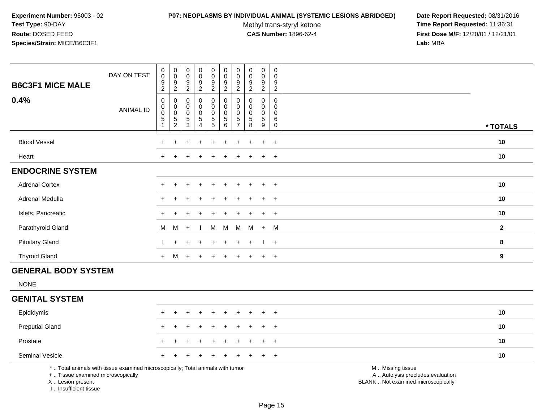#### **P07: NEOPLASMS BY INDIVIDUAL ANIMAL (SYSTEMIC LESIONS ABRIDGED) Date Report Requested:** 08/31/2016

Methyl trans-styryl ketone<br>CAS Number: 1896-62-4

| <b>B6C3F1 MICE MALE</b>                                                          | DAY ON TEST                                                                     | $\pmb{0}$<br>$\overline{0}$<br>$\boldsymbol{9}$<br>2                    | $\mathbf 0$<br>$\pmb{0}$<br>9<br>$\sqrt{2}$              | $\boldsymbol{0}$<br>$\mathsf{O}\xspace$<br>9<br>$\overline{2}$            | $\,0\,$<br>$\pmb{0}$<br>9<br>$\overline{c}$                | $\pmb{0}$<br>$\mathsf{O}\xspace$<br>$\boldsymbol{9}$<br>$\overline{2}$ | $\pmb{0}$<br>$\overline{0}$<br>9<br>$\overline{c}$                      | $\pmb{0}$<br>$\pmb{0}$<br>9<br>$\overline{2}$                 | $\mathbf 0$<br>$\pmb{0}$<br>9<br>$\overline{2}$                       | 0<br>$\mathbf 0$<br>9<br>$\overline{2}$                         | $\mathbf 0$<br>$\Omega$<br>9<br>$\overline{2}$           |                                                                                               |              |
|----------------------------------------------------------------------------------|---------------------------------------------------------------------------------|-------------------------------------------------------------------------|----------------------------------------------------------|---------------------------------------------------------------------------|------------------------------------------------------------|------------------------------------------------------------------------|-------------------------------------------------------------------------|---------------------------------------------------------------|-----------------------------------------------------------------------|-----------------------------------------------------------------|----------------------------------------------------------|-----------------------------------------------------------------------------------------------|--------------|
| 0.4%                                                                             | <b>ANIMAL ID</b>                                                                | $\mathbf 0$<br>$\pmb{0}$<br>$\mathbf 0$<br>$\sqrt{5}$<br>$\overline{1}$ | $\mathbf 0$<br>$\mathbf 0$<br>$\pmb{0}$<br>$\frac{5}{2}$ | $\pmb{0}$<br>$\mathbf 0$<br>$\mathbf 0$<br>$\overline{5}$<br>$\mathbf{3}$ | $\mathsf 0$<br>$\mathbf 0$<br>$\pmb{0}$<br>$\sqrt{5}$<br>4 | $\pmb{0}$<br>$\mathbf 0$<br>$\pmb{0}$<br>$\frac{5}{5}$                 | $\pmb{0}$<br>$\mathbf 0$<br>$\mathbf 0$<br>$\sqrt{5}$<br>$6\phantom{a}$ | $\mathbf 0$<br>$\Omega$<br>$\mathbf 0$<br>5<br>$\overline{7}$ | $\pmb{0}$<br>$\mathbf 0$<br>$\pmb{0}$<br>$\sqrt{5}$<br>$\overline{8}$ | 0<br>$\mathbf 0$<br>$\mathbf 0$<br>$\sqrt{5}$<br>$\overline{9}$ | $\pmb{0}$<br>$\Omega$<br>$\mathbf 0$<br>6<br>$\mathbf 0$ |                                                                                               | * TOTALS     |
| <b>Blood Vessel</b>                                                              |                                                                                 |                                                                         |                                                          |                                                                           |                                                            |                                                                        |                                                                         |                                                               |                                                                       | $\ddot{}$                                                       | $\overline{+}$                                           |                                                                                               | 10           |
| Heart                                                                            |                                                                                 |                                                                         |                                                          |                                                                           |                                                            |                                                                        |                                                                         |                                                               |                                                                       | ÷                                                               | $\overline{+}$                                           |                                                                                               | 10           |
| <b>ENDOCRINE SYSTEM</b>                                                          |                                                                                 |                                                                         |                                                          |                                                                           |                                                            |                                                                        |                                                                         |                                                               |                                                                       |                                                                 |                                                          |                                                                                               |              |
| <b>Adrenal Cortex</b>                                                            |                                                                                 |                                                                         |                                                          |                                                                           |                                                            |                                                                        |                                                                         |                                                               |                                                                       | $\ddot{}$                                                       | $+$                                                      |                                                                                               | 10           |
| Adrenal Medulla                                                                  |                                                                                 |                                                                         |                                                          |                                                                           |                                                            |                                                                        |                                                                         |                                                               |                                                                       | $\ddot{}$                                                       | $+$                                                      |                                                                                               | 10           |
| Islets, Pancreatic                                                               |                                                                                 |                                                                         |                                                          |                                                                           |                                                            |                                                                        |                                                                         |                                                               |                                                                       | ÷                                                               | $\overline{+}$                                           |                                                                                               | 10           |
| Parathyroid Gland                                                                |                                                                                 | м                                                                       | м                                                        | $\ddot{}$                                                                 |                                                            | М                                                                      | M                                                                       | M                                                             | M                                                                     | $+$                                                             | M                                                        |                                                                                               | $\mathbf{2}$ |
| <b>Pituitary Gland</b>                                                           |                                                                                 |                                                                         | ÷                                                        |                                                                           |                                                            |                                                                        | $\div$                                                                  | ÷                                                             | $\div$                                                                |                                                                 | $+$                                                      |                                                                                               | 8            |
| <b>Thyroid Gland</b>                                                             |                                                                                 | $+$                                                                     | M                                                        |                                                                           |                                                            |                                                                        | $\div$                                                                  |                                                               |                                                                       | $\ddot{}$                                                       | $+$                                                      |                                                                                               | 9            |
| <b>GENERAL BODY SYSTEM</b>                                                       |                                                                                 |                                                                         |                                                          |                                                                           |                                                            |                                                                        |                                                                         |                                                               |                                                                       |                                                                 |                                                          |                                                                                               |              |
| <b>NONE</b>                                                                      |                                                                                 |                                                                         |                                                          |                                                                           |                                                            |                                                                        |                                                                         |                                                               |                                                                       |                                                                 |                                                          |                                                                                               |              |
| <b>GENITAL SYSTEM</b>                                                            |                                                                                 |                                                                         |                                                          |                                                                           |                                                            |                                                                        |                                                                         |                                                               |                                                                       |                                                                 |                                                          |                                                                                               |              |
| Epididymis                                                                       |                                                                                 |                                                                         |                                                          |                                                                           |                                                            |                                                                        |                                                                         |                                                               |                                                                       | $\ddot{}$                                                       | $+$                                                      |                                                                                               | 10           |
| <b>Preputial Gland</b>                                                           |                                                                                 |                                                                         |                                                          |                                                                           |                                                            |                                                                        |                                                                         |                                                               |                                                                       |                                                                 | $\overline{+}$                                           |                                                                                               | 10           |
| Prostate                                                                         |                                                                                 |                                                                         |                                                          |                                                                           |                                                            |                                                                        |                                                                         |                                                               |                                                                       |                                                                 | $\ddot{}$                                                |                                                                                               | 10           |
| Seminal Vesicle                                                                  |                                                                                 |                                                                         |                                                          |                                                                           |                                                            |                                                                        |                                                                         |                                                               |                                                                       |                                                                 | $\ddot{}$                                                |                                                                                               | 10           |
| +  Tissue examined microscopically<br>X  Lesion present<br>I Insufficient tissue | *  Total animals with tissue examined microscopically; Total animals with tumor |                                                                         |                                                          |                                                                           |                                                            |                                                                        |                                                                         |                                                               |                                                                       |                                                                 |                                                          | M  Missing tissue<br>A  Autolysis precludes evaluation<br>BLANK  Not examined microscopically |              |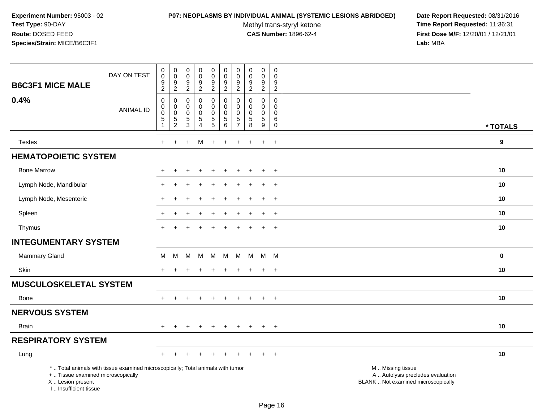#### **P07: NEOPLASMS BY INDIVIDUAL ANIMAL (SYSTEMIC LESIONS ABRIDGED) Date Report Requested:** 08/31/2016

Methyl trans-styryl ketone<br>CAS Number: 1896-62-4

| <b>B6C3F1 MICE MALE</b>                                                          | DAY ON TEST                                                                     | $\pmb{0}$<br>0<br>9       | $\pmb{0}$<br>$\mathsf{O}\xspace$<br>$\boldsymbol{9}$ | $\boldsymbol{0}$<br>$\mathbf 0$<br>9 | $\pmb{0}$<br>$\pmb{0}$<br>$\overline{9}$ | $\pmb{0}$<br>$\mathbf 0$<br>$\boldsymbol{9}$       | $\boldsymbol{0}$<br>$\mathbf 0$<br>$\boldsymbol{9}$ | $\pmb{0}$<br>$\mathbf 0$<br>$9\,$ | $\pmb{0}$<br>$\pmb{0}$<br>$\boldsymbol{9}$ | $\mathsf 0$<br>$\mathbf 0$<br>9 | $\pmb{0}$<br>$\mathbf 0$<br>9 |                                                                                               |                  |
|----------------------------------------------------------------------------------|---------------------------------------------------------------------------------|---------------------------|------------------------------------------------------|--------------------------------------|------------------------------------------|----------------------------------------------------|-----------------------------------------------------|-----------------------------------|--------------------------------------------|---------------------------------|-------------------------------|-----------------------------------------------------------------------------------------------|------------------|
|                                                                                  |                                                                                 | $\sqrt{2}$                | $\sqrt{2}$                                           | $\overline{c}$                       | $\overline{2}$                           | $\overline{2}$                                     | $\overline{2}$                                      | $\overline{2}$                    | $\sqrt{2}$                                 | $\overline{2}$                  | $\overline{2}$                |                                                                                               |                  |
| 0.4%                                                                             | <b>ANIMAL ID</b>                                                                | $\mathbf 0$<br>0          | 0<br>$\pmb{0}$                                       | 0<br>0                               | $\mathsf 0$<br>0                         | 0<br>$\mathbf 0$                                   | $\pmb{0}$<br>$\pmb{0}$                              | $\mathbf 0$<br>$\mathbf 0$        | $\pmb{0}$<br>0                             | $\mathbf 0$<br>$\mathbf 0$      | 0<br>0                        |                                                                                               |                  |
|                                                                                  |                                                                                 | $\mathsf 0$<br>$\sqrt{5}$ | $\pmb{0}$<br>5                                       | $\pmb{0}$<br>5                       | $\pmb{0}$<br>5                           | $\pmb{0}$<br>$\begin{array}{c} 5 \\ 5 \end{array}$ | $\mathbf 0$<br>$\sqrt{5}$                           | $\mathbf 0$<br>$\sqrt{5}$         | $\pmb{0}$<br>5                             | $\mathbf 0$<br>$\overline{5}$   | 0<br>6                        |                                                                                               |                  |
|                                                                                  |                                                                                 | $\mathbf{1}$              | $\overline{2}$                                       | $\overline{3}$                       | $\overline{4}$                           |                                                    | 6                                                   | $\overline{7}$                    | $\overline{8}$                             | $\overline{9}$                  | $\mathsf{O}\xspace$           |                                                                                               | * TOTALS         |
| <b>Testes</b>                                                                    |                                                                                 | $\ddot{}$                 | $\ddot{}$                                            | $\ddot{}$                            | М                                        | $+$                                                | $+$                                                 | $\ddot{}$                         | $\div$                                     | $\ddot{}$                       | $+$                           |                                                                                               | $\boldsymbol{9}$ |
| <b>HEMATOPOIETIC SYSTEM</b>                                                      |                                                                                 |                           |                                                      |                                      |                                          |                                                    |                                                     |                                   |                                            |                                 |                               |                                                                                               |                  |
| <b>Bone Marrow</b>                                                               |                                                                                 |                           |                                                      |                                      |                                          |                                                    |                                                     |                                   |                                            | $\ddot{}$                       | $\overline{+}$                |                                                                                               | 10               |
| Lymph Node, Mandibular                                                           |                                                                                 |                           |                                                      |                                      |                                          |                                                    |                                                     |                                   |                                            | $\ddot{}$                       | $+$                           |                                                                                               | 10               |
| Lymph Node, Mesenteric                                                           |                                                                                 |                           |                                                      |                                      |                                          |                                                    |                                                     |                                   |                                            | $\ddot{}$                       | $+$                           |                                                                                               | 10               |
| Spleen                                                                           |                                                                                 |                           |                                                      |                                      |                                          |                                                    |                                                     |                                   |                                            |                                 | $\pm$                         |                                                                                               | 10               |
| Thymus                                                                           |                                                                                 | +                         |                                                      |                                      |                                          |                                                    |                                                     |                                   |                                            | $\overline{+}$                  | $\overline{+}$                |                                                                                               | 10               |
| <b>INTEGUMENTARY SYSTEM</b>                                                      |                                                                                 |                           |                                                      |                                      |                                          |                                                    |                                                     |                                   |                                            |                                 |                               |                                                                                               |                  |
| Mammary Gland                                                                    |                                                                                 | м                         | М                                                    | М                                    | M                                        | м                                                  | м                                                   | M                                 | M                                          |                                 | M M                           |                                                                                               | $\mathbf 0$      |
| Skin                                                                             |                                                                                 |                           |                                                      |                                      |                                          |                                                    |                                                     |                                   |                                            | $\ddot{}$                       | $+$                           |                                                                                               | 10               |
| <b>MUSCULOSKELETAL SYSTEM</b>                                                    |                                                                                 |                           |                                                      |                                      |                                          |                                                    |                                                     |                                   |                                            |                                 |                               |                                                                                               |                  |
| Bone                                                                             |                                                                                 | $+$                       | $\overline{+}$                                       |                                      | $\overline{+}$                           | $\ddot{}$                                          | $\ddot{}$                                           | $\ddot{}$                         | $\pm$                                      | $+$                             | $+$                           |                                                                                               | 10               |
| <b>NERVOUS SYSTEM</b>                                                            |                                                                                 |                           |                                                      |                                      |                                          |                                                    |                                                     |                                   |                                            |                                 |                               |                                                                                               |                  |
| <b>Brain</b>                                                                     |                                                                                 | $+$                       | $\ddot{}$                                            |                                      | $\div$                                   | $\div$                                             | $\pm$                                               | $\ddot{}$                         | $\pm$                                      | $\pm$                           | $+$                           |                                                                                               | 10               |
| <b>RESPIRATORY SYSTEM</b>                                                        |                                                                                 |                           |                                                      |                                      |                                          |                                                    |                                                     |                                   |                                            |                                 |                               |                                                                                               |                  |
| Lung                                                                             |                                                                                 | +                         |                                                      |                                      |                                          |                                                    |                                                     |                                   |                                            |                                 | $\overline{+}$                |                                                                                               | 10               |
| +  Tissue examined microscopically<br>X  Lesion present<br>I Insufficient tissue | *  Total animals with tissue examined microscopically; Total animals with tumor |                           |                                                      |                                      |                                          |                                                    |                                                     |                                   |                                            |                                 |                               | M  Missing tissue<br>A  Autolysis precludes evaluation<br>BLANK  Not examined microscopically |                  |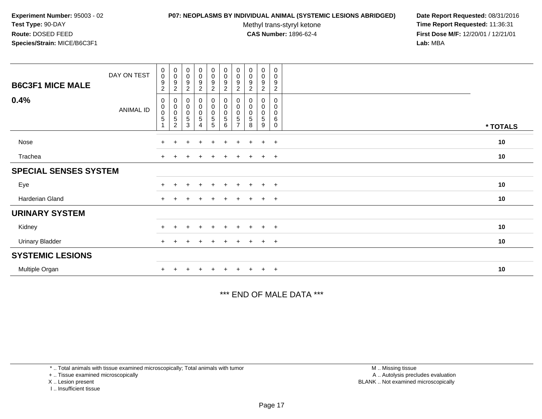#### **P07: NEOPLASMS BY INDIVIDUAL ANIMAL (SYSTEMIC LESIONS ABRIDGED) Date Report Requested:** 08/31/2016

Methyl trans-styryl ketone<br>CAS Number: 1896-62-4

 **Time Report Requested:** 11:36:31 **First Dose M/F:** 12/20/01 / 12/21/01<br>Lab: MBA **Lab:** MBA

| <b>B6C3F1 MICE MALE</b>      | DAY ON TEST | $\pmb{0}$<br>$\pmb{0}$<br>9<br>$\overline{a}$ | $_{\rm 0}^{\rm 0}$<br>$\begin{array}{c} 9 \\ 2 \end{array}$ | $\begin{smallmatrix} 0\\0 \end{smallmatrix}$<br>$\boldsymbol{9}$<br>$\overline{c}$ | $_0^0$<br>$\boldsymbol{9}$<br>$\overline{c}$         | $\begin{smallmatrix} 0\\0 \end{smallmatrix}$<br>$\boldsymbol{9}$<br>$\boldsymbol{2}$ | $\begin{smallmatrix} 0\\0 \end{smallmatrix}$<br>$\boldsymbol{9}$<br>$\overline{a}$ | $_{\rm 0}^{\rm 0}$<br>9<br>$\overline{c}$ | $\begin{smallmatrix} 0\\0 \end{smallmatrix}$<br>$\boldsymbol{9}$<br>$\overline{c}$ | $_{\rm 0}^{\rm 0}$<br>$\boldsymbol{9}$<br>$\overline{c}$ | $\pmb{0}$<br>$\mathbf 0$<br>9<br>$\overline{c}$     |          |
|------------------------------|-------------|-----------------------------------------------|-------------------------------------------------------------|------------------------------------------------------------------------------------|------------------------------------------------------|--------------------------------------------------------------------------------------|------------------------------------------------------------------------------------|-------------------------------------------|------------------------------------------------------------------------------------|----------------------------------------------------------|-----------------------------------------------------|----------|
| 0.4%                         | ANIMAL ID   | 0<br>$\pmb{0}$<br>0<br>5                      | $\boldsymbol{0}$<br>0005                                    | $\mathbf 0$<br>$_{\rm 0}^{\rm 0}$<br>$\frac{5}{3}$                                 | 0<br>0<br>$\begin{array}{c} 0 \\ 5 \end{array}$<br>4 | 0<br>$\pmb{0}$<br>$\pmb{0}$<br>$\sqrt{5}$<br>$\overline{5}$                          | 0<br>$\pmb{0}$<br>$\begin{array}{c} 0 \\ 5 \\ 6 \end{array}$                       | 0<br>$\pmb{0}$<br>5<br>$\overline{7}$     | 0<br>$\pmb{0}$<br>$\pmb{0}$<br>5<br>8                                              | 0<br>0<br>0<br>5<br>9                                    | 0<br>$\mathbf 0$<br>$\mathbf 0$<br>6<br>$\mathbf 0$ | * TOTALS |
| Nose                         |             | $\pm$                                         | $+$                                                         |                                                                                    | $\pm$                                                | $\div$                                                                               | $\pm$                                                                              | $\pm$                                     | $\pm$                                                                              | $+$                                                      | $+$                                                 | 10       |
| Trachea                      |             | $+$                                           | $\pm$                                                       |                                                                                    | $\pm$                                                | $\ddot{}$                                                                            | $\pm$                                                                              | $\pm$                                     | $\pm$                                                                              | $\overline{+}$                                           | $+$                                                 | $10$     |
| <b>SPECIAL SENSES SYSTEM</b> |             |                                               |                                                             |                                                                                    |                                                      |                                                                                      |                                                                                    |                                           |                                                                                    |                                                          |                                                     |          |
| Eye                          |             | $\pm$                                         | $+$                                                         | $\pm$                                                                              | $+$                                                  | $+$                                                                                  | $+$                                                                                | $+$                                       | $+$                                                                                | $+$                                                      | $+$                                                 | 10       |
| Harderian Gland              |             | $+$                                           | $+$                                                         | $\pm$                                                                              | $+$                                                  | $+$                                                                                  | $\ddot{}$                                                                          | $+$                                       | $+$                                                                                | $+$                                                      | $+$                                                 | 10       |
| <b>URINARY SYSTEM</b>        |             |                                               |                                                             |                                                                                    |                                                      |                                                                                      |                                                                                    |                                           |                                                                                    |                                                          |                                                     |          |
| Kidney                       |             | $\ddot{}$                                     | $+$                                                         |                                                                                    | $+$                                                  | $\ddot{}$                                                                            | $\pm$                                                                              | $\pm$                                     | $+$                                                                                | $+$                                                      | $+$                                                 | 10       |
| <b>Urinary Bladder</b>       |             | $\ddot{}$                                     | $+$                                                         |                                                                                    | $\pm$                                                | $\pm$                                                                                |                                                                                    | $\pm$                                     |                                                                                    | $\overline{+}$                                           | $+$                                                 | 10       |
| <b>SYSTEMIC LESIONS</b>      |             |                                               |                                                             |                                                                                    |                                                      |                                                                                      |                                                                                    |                                           |                                                                                    |                                                          |                                                     |          |
| Multiple Organ               |             | $\ddot{}$                                     | $+$                                                         | $\overline{+}$                                                                     | $+$                                                  | $+$                                                                                  | $+$                                                                                | $+$ $+$                                   |                                                                                    | $+$ $+$                                                  |                                                     | 10       |

\*\*\* END OF MALE DATA \*\*\*

\* .. Total animals with tissue examined microscopically; Total animals with tumor

+ .. Tissue examined microscopically

X .. Lesion present

I .. Insufficient tissue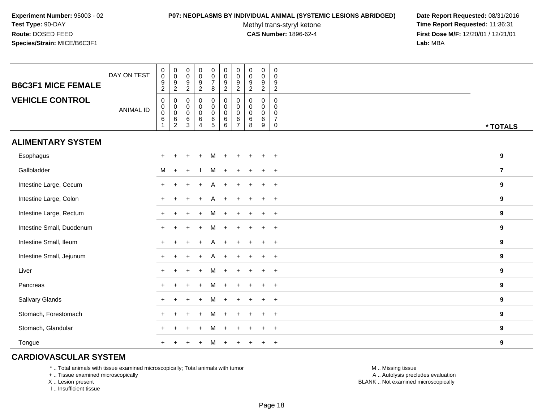#### **P07: NEOPLASMS BY INDIVIDUAL ANIMAL (SYSTEMIC LESIONS ABRIDGED) Date Report Requested:** 08/31/2016

Methyl trans-styryl ketone<br>CAS Number: 1896-62-4

 **Time Report Requested:** 11:36:31 **First Dose M/F:** 12/20/01 / 12/21/01<br>**Lab:** MBA **Lab:** MBA

| <b>B6C3F1 MICE FEMALE</b> | DAY ON TEST      | $\pmb{0}$<br>$\mathsf{O}\xspace$<br>$\boldsymbol{9}$          | $\begin{array}{c} 0 \\ 0 \\ 9 \\ 2 \end{array}$                       | $\begin{smallmatrix} 0\\0 \end{smallmatrix}$<br>$\frac{9}{2}$    | $\begin{smallmatrix}0\0\0\9\end{smallmatrix}$                                  | $\pmb{0}$<br>$\mathbf 0$<br>$\boldsymbol{7}$                                | $\pmb{0}$<br>$\ddot{\mathbf{0}}$<br>$\boldsymbol{9}$                                         | $\pmb{0}$<br>$\mathbf 0$<br>9                                            | $\mathbf 0$<br>$\mathbf 0$<br>$\boldsymbol{9}$        | $\pmb{0}$<br>$\ddot{\mathbf{0}}$<br>$\boldsymbol{9}$                  | $\mathbf 0$<br>$\mathbf 0$<br>9                                                          |                  |
|---------------------------|------------------|---------------------------------------------------------------|-----------------------------------------------------------------------|------------------------------------------------------------------|--------------------------------------------------------------------------------|-----------------------------------------------------------------------------|----------------------------------------------------------------------------------------------|--------------------------------------------------------------------------|-------------------------------------------------------|-----------------------------------------------------------------------|------------------------------------------------------------------------------------------|------------------|
| <b>VEHICLE CONTROL</b>    | <b>ANIMAL ID</b> | $\overline{a}$<br>0<br>$\pmb{0}$<br>$\mathbf 0$<br>$\,6$<br>1 | 0<br>$\mathsf{O}\xspace$<br>$\overline{0}$<br>$\,6$<br>$\overline{2}$ | 0<br>$\pmb{0}$<br>$\ddot{\mathbf{0}}$<br>$\,6\,$<br>$\mathbf{3}$ | $\overline{c}$<br>$\pmb{0}$<br>$_{\rm 0}^{\rm 0}$<br>$\,6\,$<br>$\overline{4}$ | $\bf 8$<br>0<br>$\mathbf 0$<br>$\ddot{\mathbf{0}}$<br>$\,6\,$<br>$\sqrt{5}$ | $\boldsymbol{2}$<br>$\pmb{0}$<br>$\mathbf 0$<br>$\overline{0}$<br>$\,6\,$<br>$6\phantom{1}6$ | $\overline{2}$<br>0<br>$\mathbf 0$<br>$\mathbf 0$<br>6<br>$\overline{7}$ | $\overline{2}$<br>$\mathbf 0$<br>0<br>0<br>$\,6$<br>8 | $\overline{2}$<br>$\mathbf 0$<br>$\mathbf 0$<br>0<br>$\,6\,$<br>$9\,$ | $\sqrt{2}$<br>$\mathbf 0$<br>$\mathbf 0$<br>$\mathbf 0$<br>$\overline{7}$<br>$\mathbf 0$ | * TOTALS         |
| <b>ALIMENTARY SYSTEM</b>  |                  |                                                               |                                                                       |                                                                  |                                                                                |                                                                             |                                                                                              |                                                                          |                                                       |                                                                       |                                                                                          |                  |
| Esophagus                 |                  |                                                               |                                                                       |                                                                  |                                                                                | м                                                                           |                                                                                              |                                                                          |                                                       |                                                                       | $+$                                                                                      | 9                |
| Gallbladder               |                  | M                                                             | $\ddot{}$                                                             |                                                                  |                                                                                | м                                                                           |                                                                                              |                                                                          |                                                       |                                                                       | $\overline{+}$                                                                           | $\overline{7}$   |
| Intestine Large, Cecum    |                  |                                                               |                                                                       |                                                                  |                                                                                |                                                                             |                                                                                              |                                                                          |                                                       |                                                                       |                                                                                          | 9                |
| Intestine Large, Colon    |                  |                                                               |                                                                       |                                                                  |                                                                                |                                                                             |                                                                                              |                                                                          |                                                       |                                                                       | $\ddot{}$                                                                                | 9                |
| Intestine Large, Rectum   |                  |                                                               |                                                                       |                                                                  |                                                                                | м                                                                           |                                                                                              |                                                                          |                                                       | $+$                                                                   | $+$                                                                                      | $\boldsymbol{9}$ |
| Intestine Small, Duodenum |                  |                                                               |                                                                       |                                                                  |                                                                                | м                                                                           |                                                                                              |                                                                          |                                                       | $\pm$                                                                 | $+$                                                                                      | $\boldsymbol{9}$ |
| Intestine Small, Ileum    |                  |                                                               |                                                                       |                                                                  |                                                                                | A                                                                           |                                                                                              |                                                                          |                                                       | $+$                                                                   | $+$                                                                                      | 9                |
| Intestine Small, Jejunum  |                  |                                                               |                                                                       |                                                                  |                                                                                | A                                                                           |                                                                                              |                                                                          |                                                       | $\ddot{}$                                                             | $\ddot{}$                                                                                | 9                |
| Liver                     |                  |                                                               |                                                                       |                                                                  |                                                                                | м                                                                           |                                                                                              |                                                                          |                                                       | $\ddot{}$                                                             | $+$                                                                                      | 9                |
| Pancreas                  |                  | $+$                                                           |                                                                       |                                                                  |                                                                                | м                                                                           |                                                                                              |                                                                          |                                                       | $+$                                                                   | $+$                                                                                      | 9                |
| Salivary Glands           |                  |                                                               |                                                                       |                                                                  |                                                                                | м                                                                           |                                                                                              |                                                                          |                                                       | $\ddot{}$                                                             | $+$                                                                                      | 9                |
| Stomach, Forestomach      |                  |                                                               |                                                                       |                                                                  |                                                                                |                                                                             |                                                                                              |                                                                          |                                                       |                                                                       | $+$                                                                                      | 9                |
| Stomach, Glandular        |                  |                                                               |                                                                       |                                                                  |                                                                                | м                                                                           |                                                                                              |                                                                          |                                                       |                                                                       | $+$                                                                                      | $\boldsymbol{9}$ |
| Tongue                    |                  |                                                               |                                                                       |                                                                  |                                                                                | M                                                                           |                                                                                              |                                                                          |                                                       | +                                                                     | $\overline{+}$                                                                           | 9                |

## **CARDIOVASCULAR SYSTEM**

\* .. Total animals with tissue examined microscopically; Total animals with tumor

+ .. Tissue examined microscopically

X .. Lesion present

I .. Insufficient tissue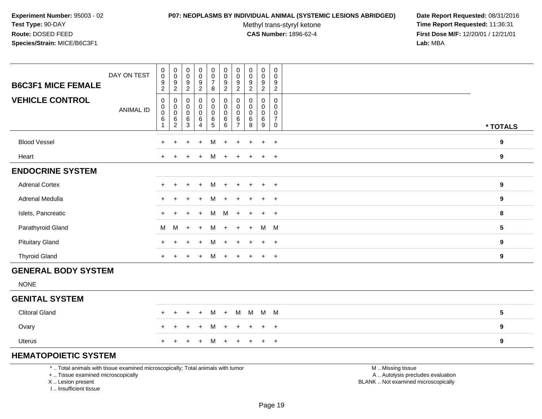#### **P07: NEOPLASMS BY INDIVIDUAL ANIMAL (SYSTEMIC LESIONS ABRIDGED) Date Report Requested:** 08/31/2016

Methyl trans-styryl ketone<br>CAS Number: 1896-62-4

 **Time Report Requested:** 11:36:31 **First Dose M/F:** 12/20/01 / 12/21/01<br>**Lab:** MBA **Lab:** MBA

| <b>VEHICLE CONTROL</b><br>0<br>$\pmb{0}$<br>$\mathbf 0$<br>0<br>0<br>0<br>$\begin{smallmatrix}0\0\0\end{smallmatrix}$<br>$\mathbf 0$<br>0<br>0<br>$\mathsf{O}\xspace$<br>$\mathbf 0$<br>$\mathbf 0$<br>$\pmb{0}$<br>$\begin{matrix}0\\0\\6\\2\end{matrix}$<br>$\pmb{0}$<br>$\mathbf 0$<br>0<br>$\mathbf 0$<br><b>ANIMAL ID</b><br>$\mathbf 0$<br>$\pmb{0}$<br>$\mathsf 0$<br>$\boldsymbol{0}$<br>$\mathbf 0$<br>$\boldsymbol{0}$<br>$\mathbf 0$<br>0<br>$\mathbf 0$<br>$\frac{6}{4}$<br>$\frac{6}{5}$<br>$\,6\,$<br>$\,6$<br>$\,6\,$<br>$\,6\,$<br>$\,6\,$<br>6<br>$\overline{7}$<br>$\overline{3}$<br>6<br>$\overline{7}$<br>9<br>8<br>0<br>* TOTALS<br><b>Blood Vessel</b><br>9<br>M<br>$\ddot{}$<br>$+$<br>$\ddot{}$<br>$\ddot{}$<br>$\ddot{}$<br>$\ddot{}$<br>Heart<br>9<br>M<br>$+$<br>$+$<br>$+$<br>$\ddot{}$<br>$+$<br>$\pm$<br>$\overline{+}$<br><b>ENDOCRINE SYSTEM</b><br><b>Adrenal Cortex</b><br>$\boldsymbol{9}$<br>M<br>$+$<br>$+$<br>$+$<br>$+$<br>$\ddot{}$<br>$+$<br>$+$<br>$+$<br>$+$<br>Adrenal Medulla<br>9<br>M<br>$+$<br>$+$<br>$\ddot{}$<br>$+$<br>$+$<br>$\pm$ |  |
|----------------------------------------------------------------------------------------------------------------------------------------------------------------------------------------------------------------------------------------------------------------------------------------------------------------------------------------------------------------------------------------------------------------------------------------------------------------------------------------------------------------------------------------------------------------------------------------------------------------------------------------------------------------------------------------------------------------------------------------------------------------------------------------------------------------------------------------------------------------------------------------------------------------------------------------------------------------------------------------------------------------------------------------------------------------------------------------|--|
|                                                                                                                                                                                                                                                                                                                                                                                                                                                                                                                                                                                                                                                                                                                                                                                                                                                                                                                                                                                                                                                                                        |  |
|                                                                                                                                                                                                                                                                                                                                                                                                                                                                                                                                                                                                                                                                                                                                                                                                                                                                                                                                                                                                                                                                                        |  |
|                                                                                                                                                                                                                                                                                                                                                                                                                                                                                                                                                                                                                                                                                                                                                                                                                                                                                                                                                                                                                                                                                        |  |
|                                                                                                                                                                                                                                                                                                                                                                                                                                                                                                                                                                                                                                                                                                                                                                                                                                                                                                                                                                                                                                                                                        |  |
|                                                                                                                                                                                                                                                                                                                                                                                                                                                                                                                                                                                                                                                                                                                                                                                                                                                                                                                                                                                                                                                                                        |  |
|                                                                                                                                                                                                                                                                                                                                                                                                                                                                                                                                                                                                                                                                                                                                                                                                                                                                                                                                                                                                                                                                                        |  |
| Islets, Pancreatic<br>M<br>M<br>8<br>$+$<br>$+$<br>$+$<br>$+$<br>$+$<br>$\ddot{}$                                                                                                                                                                                                                                                                                                                                                                                                                                                                                                                                                                                                                                                                                                                                                                                                                                                                                                                                                                                                      |  |
| $5\phantom{.0}$<br>Parathyroid Gland<br>M<br>M<br>M M<br>M<br>$+$<br>$\ddot{}$<br>$+$<br>$+$<br>$+$                                                                                                                                                                                                                                                                                                                                                                                                                                                                                                                                                                                                                                                                                                                                                                                                                                                                                                                                                                                    |  |
| <b>Pituitary Gland</b><br>9<br>M<br>$+$<br>$+$<br>$+$<br>$+$<br>$+$<br>$+$<br>$+$<br>$+$<br>$+$                                                                                                                                                                                                                                                                                                                                                                                                                                                                                                                                                                                                                                                                                                                                                                                                                                                                                                                                                                                        |  |
| <b>Thyroid Gland</b><br>M<br>9<br>$+$<br>$+$<br>$+$<br>$+$<br>$+$<br>$+$<br>$+$ $+$<br>$+$                                                                                                                                                                                                                                                                                                                                                                                                                                                                                                                                                                                                                                                                                                                                                                                                                                                                                                                                                                                             |  |
| <b>GENERAL BODY SYSTEM</b>                                                                                                                                                                                                                                                                                                                                                                                                                                                                                                                                                                                                                                                                                                                                                                                                                                                                                                                                                                                                                                                             |  |
| <b>NONE</b>                                                                                                                                                                                                                                                                                                                                                                                                                                                                                                                                                                                                                                                                                                                                                                                                                                                                                                                                                                                                                                                                            |  |
| <b>GENITAL SYSTEM</b>                                                                                                                                                                                                                                                                                                                                                                                                                                                                                                                                                                                                                                                                                                                                                                                                                                                                                                                                                                                                                                                                  |  |
| <b>Clitoral Gland</b><br>$5\phantom{.0}$<br>M M<br>$M$ M<br>M<br>$+$<br>$\ddot{}$<br>$+$<br>$\pm$<br>$\ddot{}$                                                                                                                                                                                                                                                                                                                                                                                                                                                                                                                                                                                                                                                                                                                                                                                                                                                                                                                                                                         |  |
| Ovary<br>9<br>М<br>$+$<br>$\ddot{}$<br>$+$<br>$+$<br>$\pm$<br>$\ddot{}$<br>$\ddot{}$<br>$+$<br>$+$                                                                                                                                                                                                                                                                                                                                                                                                                                                                                                                                                                                                                                                                                                                                                                                                                                                                                                                                                                                     |  |
| 9<br>Uterus<br>M<br>$+$<br>$+$<br>$\ddot{}$<br>$\ddot{}$<br>$^{+}$<br>$\pm$                                                                                                                                                                                                                                                                                                                                                                                                                                                                                                                                                                                                                                                                                                                                                                                                                                                                                                                                                                                                            |  |

## **HEMATOPOIETIC SYSTEM**

\* .. Total animals with tissue examined microscopically; Total animals with tumor

+ .. Tissue examined microscopically

X .. Lesion present

I .. Insufficient tissue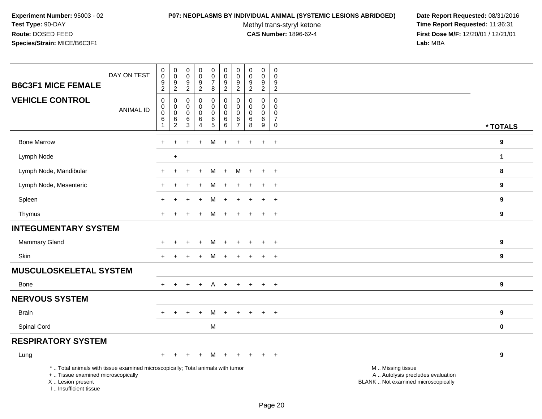## **P07: NEOPLASMS BY INDIVIDUAL ANIMAL (SYSTEMIC LESIONS ABRIDGED) Date Report Requested:** 08/31/2016

Methyl trans-styryl ketone<br>CAS Number: 1896-62-4

| DAY ON TEST<br><b>B6C3F1 MICE FEMALE</b>                                                                                                                            | $\mathbf 0$<br>$\ddot{\mathbf{0}}$<br>$\frac{9}{2}$                  | $\mathbf 0$<br>$\ddot{\mathbf{0}}$<br>$\frac{9}{2}$                | $\pmb{0}$<br>$\ddot{\mathbf{0}}$<br>$\boldsymbol{9}$                          | $\mathsf{O}\xspace$<br>$\overline{0}$<br>9                              | $\pmb{0}$<br>$\ddot{\mathbf{0}}$<br>$\overline{7}$                 | $\mathbf 0$<br>$\ddot{\mathbf{0}}$<br>$\boldsymbol{9}$                    | 0<br>$\mathbf 0$<br>9                                                              | $\pmb{0}$<br>$\pmb{0}$<br>$9$                                      | $\pmb{0}$<br>$\mathbf 0$<br>9                               | 0<br>$\mathbf 0$<br>9                                                    |                                                                                               |                  |
|---------------------------------------------------------------------------------------------------------------------------------------------------------------------|----------------------------------------------------------------------|--------------------------------------------------------------------|-------------------------------------------------------------------------------|-------------------------------------------------------------------------|--------------------------------------------------------------------|---------------------------------------------------------------------------|------------------------------------------------------------------------------------|--------------------------------------------------------------------|-------------------------------------------------------------|--------------------------------------------------------------------------|-----------------------------------------------------------------------------------------------|------------------|
| <b>VEHICLE CONTROL</b><br><b>ANIMAL ID</b>                                                                                                                          | $\mathbf 0$<br>$\pmb{0}$<br>$\mathsf 0$<br>$\,6\,$<br>$\overline{1}$ | $\mathbf 0$<br>$\mathbf 0$<br>$\mathbf 0$<br>$\,6\,$<br>$\sqrt{2}$ | $\overline{2}$<br>$\mathbf 0$<br>$\mathbf 0$<br>$\mathsf{O}\xspace$<br>6<br>3 | $\overline{2}$<br>$\mathbf 0$<br>$\mathsf{O}$<br>$\mathsf{O}$<br>6<br>4 | 8<br>$\pmb{0}$<br>$\mathsf{O}\xspace$<br>$\pmb{0}$<br>$\,6\,$<br>5 | $\overline{2}$<br>$\mathbf 0$<br>$\pmb{0}$<br>$\mathbf 0$<br>$\,6\,$<br>6 | $\overline{2}$<br>$\mathbf 0$<br>$\mathbf 0$<br>$\mathbf 0$<br>6<br>$\overline{7}$ | $\overline{2}$<br>$\Omega$<br>$\mathbf 0$<br>$\mathbf 0$<br>6<br>8 | $\overline{2}$<br>$\mathbf 0$<br>0<br>$\mathbf 0$<br>6<br>9 | $\overline{2}$<br>0<br>$\mathbf 0$<br>$\mathbf 0$<br>$\overline{7}$<br>0 |                                                                                               | * TOTALS         |
| <b>Bone Marrow</b>                                                                                                                                                  | $\div$                                                               | $\div$                                                             |                                                                               |                                                                         | м                                                                  |                                                                           |                                                                                    |                                                                    |                                                             |                                                                          |                                                                                               | 9                |
|                                                                                                                                                                     |                                                                      |                                                                    |                                                                               | $\ddot{}$                                                               |                                                                    | $\ddot{}$                                                                 | $\ddot{}$                                                                          | $\ddot{}$                                                          | $\ddot{}$                                                   | $+$                                                                      |                                                                                               |                  |
| Lymph Node                                                                                                                                                          |                                                                      | $+$                                                                |                                                                               |                                                                         |                                                                    |                                                                           |                                                                                    |                                                                    |                                                             |                                                                          |                                                                                               | $\mathbf 1$      |
| Lymph Node, Mandibular                                                                                                                                              | $\pm$                                                                | $\ddot{}$                                                          |                                                                               | $\ddot{}$                                                               | M                                                                  | $+$                                                                       | м                                                                                  | $\ddot{}$                                                          | $\ddot{}$                                                   | $\overline{+}$                                                           |                                                                                               | 8                |
| Lymph Node, Mesenteric                                                                                                                                              |                                                                      |                                                                    |                                                                               |                                                                         | M                                                                  |                                                                           |                                                                                    |                                                                    | $\div$                                                      | $+$                                                                      |                                                                                               | $\boldsymbol{9}$ |
| Spleen                                                                                                                                                              |                                                                      |                                                                    |                                                                               | $\ddot{}$                                                               | M                                                                  | $\overline{+}$                                                            | $\div$                                                                             |                                                                    | $\ddot{}$                                                   | $+$                                                                      |                                                                                               | 9                |
| Thymus                                                                                                                                                              |                                                                      |                                                                    |                                                                               |                                                                         | M                                                                  | $\ddot{}$                                                                 |                                                                                    |                                                                    | $\ddot{}$                                                   | $\ddot{}$                                                                |                                                                                               | 9                |
| <b>INTEGUMENTARY SYSTEM</b>                                                                                                                                         |                                                                      |                                                                    |                                                                               |                                                                         |                                                                    |                                                                           |                                                                                    |                                                                    |                                                             |                                                                          |                                                                                               |                  |
| Mammary Gland                                                                                                                                                       |                                                                      |                                                                    |                                                                               | $\ddot{}$                                                               | M                                                                  | $\pm$                                                                     | $\pm$                                                                              | $\ddot{}$                                                          | $\ddot{}$                                                   | $+$                                                                      |                                                                                               | $\boldsymbol{9}$ |
| Skin                                                                                                                                                                | $+$                                                                  |                                                                    |                                                                               | $\ddot{}$                                                               | M                                                                  | $+$                                                                       | $+$                                                                                | $\ddot{}$                                                          | $\ddot{}$                                                   | $+$                                                                      |                                                                                               | 9                |
| <b>MUSCULOSKELETAL SYSTEM</b>                                                                                                                                       |                                                                      |                                                                    |                                                                               |                                                                         |                                                                    |                                                                           |                                                                                    |                                                                    |                                                             |                                                                          |                                                                                               |                  |
| Bone                                                                                                                                                                | $+$                                                                  |                                                                    |                                                                               | $\ddot{}$                                                               | A                                                                  | $+$                                                                       | $+$                                                                                |                                                                    | $\ddot{}$                                                   | $+$                                                                      |                                                                                               | 9                |
| <b>NERVOUS SYSTEM</b>                                                                                                                                               |                                                                      |                                                                    |                                                                               |                                                                         |                                                                    |                                                                           |                                                                                    |                                                                    |                                                             |                                                                          |                                                                                               |                  |
| <b>Brain</b>                                                                                                                                                        | $+$                                                                  | $\ddot{}$                                                          | $\ddot{}$                                                                     | $+$                                                                     | M                                                                  | $+$                                                                       | $+$                                                                                | $+$                                                                | $+$                                                         | $+$                                                                      |                                                                                               | 9                |
| Spinal Cord                                                                                                                                                         |                                                                      |                                                                    |                                                                               |                                                                         | M                                                                  |                                                                           |                                                                                    |                                                                    |                                                             |                                                                          |                                                                                               | $\pmb{0}$        |
| <b>RESPIRATORY SYSTEM</b>                                                                                                                                           |                                                                      |                                                                    |                                                                               |                                                                         |                                                                    |                                                                           |                                                                                    |                                                                    |                                                             |                                                                          |                                                                                               |                  |
| Lung                                                                                                                                                                | $+$                                                                  | $\ddot{}$                                                          | $\ddot{}$                                                                     | $^{+}$                                                                  | M                                                                  | $+$                                                                       | $+$                                                                                | $+$                                                                | $+$                                                         | $+$                                                                      |                                                                                               | 9                |
| *  Total animals with tissue examined microscopically; Total animals with tumor<br>+  Tissue examined microscopically<br>X  Lesion present<br>I Insufficient tissue |                                                                      |                                                                    |                                                                               |                                                                         |                                                                    |                                                                           |                                                                                    |                                                                    |                                                             |                                                                          | M  Missing tissue<br>A  Autolysis precludes evaluation<br>BLANK  Not examined microscopically |                  |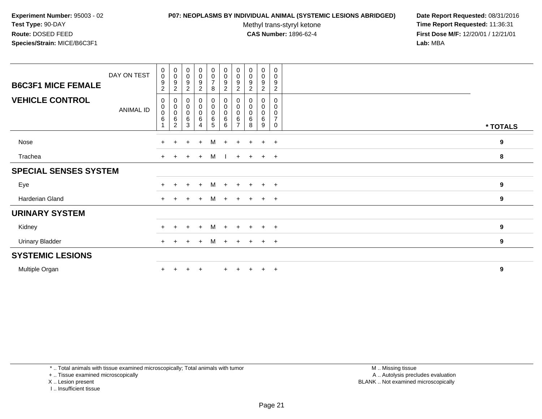#### **P07: NEOPLASMS BY INDIVIDUAL ANIMAL (SYSTEMIC LESIONS ABRIDGED) Date Report Requested:** 08/31/2016

Methyl trans-styryl ketone<br>CAS Number: 1896-62-4

 **Time Report Requested:** 11:36:31 **First Dose M/F:** 12/20/01 / 12/21/01<br>**Lab:** MBA **Lab:** MBA

| <b>B6C3F1 MICE FEMALE</b>    | DAY ON TEST | 0<br>$\mathsf{O}\xspace$<br>9<br>$\overline{c}$ | $\begin{smallmatrix} 0\\0 \end{smallmatrix}$<br>9<br>$\boldsymbol{2}$ | $\begin{smallmatrix}0\0\0\end{smallmatrix}$<br>$\boldsymbol{9}$<br>$\sqrt{2}$ | $\begin{array}{c} 0 \\ 0 \\ 9 \\ 2 \end{array}$                           | $\begin{matrix} 0 \\ 0 \\ 7 \end{matrix}$<br>$\, 8$        | $\begin{smallmatrix}0\\0\end{smallmatrix}$<br>9<br>$\overline{c}$ | $_{\rm 0}^{\rm 0}$<br>9<br>$\overline{c}$ | $_{\rm 0}^{\rm 0}$<br>$\boldsymbol{9}$<br>$\overline{c}$ | $\pmb{0}$<br>$\pmb{0}$<br>$\boldsymbol{9}$<br>$\sqrt{2}$ | 0<br>$\mathbf 0$<br>9<br>$\overline{2}$   |                  |
|------------------------------|-------------|-------------------------------------------------|-----------------------------------------------------------------------|-------------------------------------------------------------------------------|---------------------------------------------------------------------------|------------------------------------------------------------|-------------------------------------------------------------------|-------------------------------------------|----------------------------------------------------------|----------------------------------------------------------|-------------------------------------------|------------------|
| <b>VEHICLE CONTROL</b>       | ANIMAL ID   | 0<br>0<br>$\pmb{0}$<br>6                        | 0<br>0<br>$\mathsf 0$<br>6<br>$\overline{c}$                          | $_{\rm 0}^{\rm 0}$<br>$\pmb{0}$<br>$\,6\,$<br>3                               | $\begin{smallmatrix} 0\\0 \end{smallmatrix}$<br>$\pmb{0}$<br>$\,6\,$<br>4 | $\pmb{0}$<br>$\boldsymbol{0}$<br>$\pmb{0}$<br>$\,6\,$<br>5 | 0<br>0<br>$\mathbf 0$<br>6<br>6                                   | 6<br>7                                    | 0<br>0<br>0<br>6<br>8                                    | 0<br>$\mathbf 0$<br>$\pmb{0}$<br>6<br>9                  | 0<br>0<br>0<br>$\overline{7}$<br>$\Omega$ | * TOTALS         |
| Nose                         |             | $+$                                             | $+$                                                                   | $+$                                                                           | $+$                                                                       | M                                                          | $+$                                                               | $+$                                       | $+$                                                      | $+$                                                      | $+$                                       | $\boldsymbol{9}$ |
| Trachea                      |             | $+$                                             | $+$                                                                   | $+$                                                                           | $+$                                                                       | M                                                          |                                                                   |                                           | $+$ $+$                                                  | $+$                                                      | $+$                                       | 8                |
| <b>SPECIAL SENSES SYSTEM</b> |             |                                                 |                                                                       |                                                                               |                                                                           |                                                            |                                                                   |                                           |                                                          |                                                          |                                           |                  |
| Eye                          |             | $+$                                             | $+$                                                                   | $+$                                                                           | $+$                                                                       | M                                                          | $+$                                                               | $+$                                       | $+$                                                      | $+$                                                      | $+$                                       | 9                |
| Harderian Gland              |             |                                                 | $+$ $+$                                                               | $+$                                                                           | $+$                                                                       |                                                            |                                                                   |                                           | M + + + + +                                              |                                                          |                                           | $\boldsymbol{9}$ |
| <b>URINARY SYSTEM</b>        |             |                                                 |                                                                       |                                                                               |                                                                           |                                                            |                                                                   |                                           |                                                          |                                                          |                                           |                  |
| Kidney                       |             | $+$                                             | $+$                                                                   | $+$                                                                           | $+$                                                                       | M                                                          | $+$                                                               | $+$                                       | $+$                                                      | $+$                                                      | $+$                                       | 9                |
| <b>Urinary Bladder</b>       |             | $+$                                             | $+$                                                                   | $+$                                                                           | $+$                                                                       | M                                                          | $+$                                                               | $+$                                       | $+$                                                      | $+$                                                      | $+$                                       | 9                |
| <b>SYSTEMIC LESIONS</b>      |             |                                                 |                                                                       |                                                                               |                                                                           |                                                            |                                                                   |                                           |                                                          |                                                          |                                           |                  |
| Multiple Organ               |             |                                                 |                                                                       |                                                                               | $\overline{+}$                                                            |                                                            |                                                                   |                                           |                                                          | $+$                                                      | $+$                                       | 9                |

\* .. Total animals with tissue examined microscopically; Total animals with tumor

+ .. Tissue examined microscopically

X .. Lesion present

I .. Insufficient tissue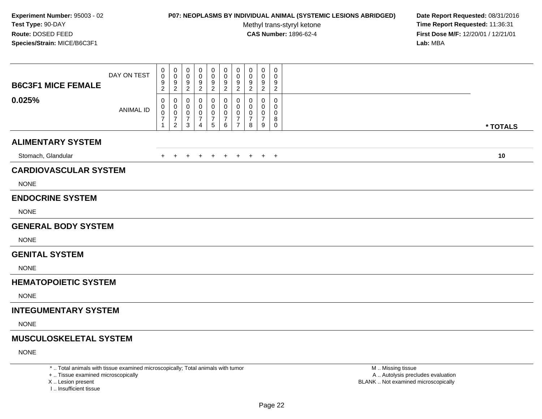## **P07: NEOPLASMS BY INDIVIDUAL ANIMAL (SYSTEMIC LESIONS ABRIDGED) Date Report Requested:** 08/31/2016

Methyl trans-styryl ketone<br>CAS Number: 1896-62-4

 **Time Report Requested:** 11:36:31 **First Dose M/F:** 12/20/01 / 12/21/01<br>Lab: MBA **Lab:** MBA

| <b>B6C3F1 MICE FEMALE</b>     | DAY ON TEST      | 0<br>$\mathbf 0$<br>9<br>$\overline{2}$                         | 0<br>$\mathbf 0$<br>9<br>$\overline{c}$                   | 0<br>0<br>9<br>$\overline{2}$      | 0<br>0<br>9<br>$\overline{c}$              | 0<br>0<br>9<br>$\overline{c}$              | $\mathbf 0$<br>0<br>9<br>$\overline{2}$                  | 0<br>0<br>9<br>$\overline{2}$                          | 0<br>0<br>9<br>$\overline{c}$      | 0<br>0<br>9<br>$\overline{2}$                    | 0<br>$\Omega$<br>9<br>$\overline{c}$             |          |
|-------------------------------|------------------|-----------------------------------------------------------------|-----------------------------------------------------------|------------------------------------|--------------------------------------------|--------------------------------------------|----------------------------------------------------------|--------------------------------------------------------|------------------------------------|--------------------------------------------------|--------------------------------------------------|----------|
| 0.025%                        | <b>ANIMAL ID</b> | $\mathbf 0$<br>0<br>$\pmb{0}$<br>$\overline{7}$<br>$\mathbf{1}$ | 0<br>0<br>$\mathbf 0$<br>$\overline{7}$<br>$\overline{2}$ | 0<br>0<br>0<br>$\overline{7}$<br>3 | 0<br>0<br>0<br>7<br>$\boldsymbol{\Lambda}$ | 0<br>0<br>$\pmb{0}$<br>$\overline{7}$<br>5 | $\mathbf{0}$<br>$\mathbf{0}$<br>0<br>$\overline{7}$<br>6 | $\mathbf 0$<br>$\mathbf 0$<br>0<br>7<br>$\overline{7}$ | 0<br>0<br>0<br>$\overline{7}$<br>8 | $\Omega$<br>$\Omega$<br>0<br>$\overline{7}$<br>9 | $\mathbf 0$<br>$\Omega$<br>0<br>8<br>$\mathbf 0$ | * TOTALS |
| <b>ALIMENTARY SYSTEM</b>      |                  |                                                                 |                                                           |                                    |                                            |                                            |                                                          |                                                        |                                    |                                                  |                                                  |          |
| Stomach, Glandular            |                  | $+$                                                             | $\ddot{}$                                                 |                                    |                                            | $\overline{+}$                             | $\ddot{}$                                                | $+$                                                    | $+$                                |                                                  | $+$ $+$                                          | 10       |
| <b>CARDIOVASCULAR SYSTEM</b>  |                  |                                                                 |                                                           |                                    |                                            |                                            |                                                          |                                                        |                                    |                                                  |                                                  |          |
| <b>NONE</b>                   |                  |                                                                 |                                                           |                                    |                                            |                                            |                                                          |                                                        |                                    |                                                  |                                                  |          |
| <b>ENDOCRINE SYSTEM</b>       |                  |                                                                 |                                                           |                                    |                                            |                                            |                                                          |                                                        |                                    |                                                  |                                                  |          |
| <b>NONE</b>                   |                  |                                                                 |                                                           |                                    |                                            |                                            |                                                          |                                                        |                                    |                                                  |                                                  |          |
| <b>GENERAL BODY SYSTEM</b>    |                  |                                                                 |                                                           |                                    |                                            |                                            |                                                          |                                                        |                                    |                                                  |                                                  |          |
| <b>NONE</b>                   |                  |                                                                 |                                                           |                                    |                                            |                                            |                                                          |                                                        |                                    |                                                  |                                                  |          |
| <b>GENITAL SYSTEM</b>         |                  |                                                                 |                                                           |                                    |                                            |                                            |                                                          |                                                        |                                    |                                                  |                                                  |          |
| <b>NONE</b>                   |                  |                                                                 |                                                           |                                    |                                            |                                            |                                                          |                                                        |                                    |                                                  |                                                  |          |
| <b>HEMATOPOIETIC SYSTEM</b>   |                  |                                                                 |                                                           |                                    |                                            |                                            |                                                          |                                                        |                                    |                                                  |                                                  |          |
| <b>NONE</b>                   |                  |                                                                 |                                                           |                                    |                                            |                                            |                                                          |                                                        |                                    |                                                  |                                                  |          |
| <b>INTEGUMENTARY SYSTEM</b>   |                  |                                                                 |                                                           |                                    |                                            |                                            |                                                          |                                                        |                                    |                                                  |                                                  |          |
| <b>NONE</b>                   |                  |                                                                 |                                                           |                                    |                                            |                                            |                                                          |                                                        |                                    |                                                  |                                                  |          |
| <b>MUSCULOSKELETAL SYSTEM</b> |                  |                                                                 |                                                           |                                    |                                            |                                            |                                                          |                                                        |                                    |                                                  |                                                  |          |
| <b>NONE</b>                   |                  |                                                                 |                                                           |                                    |                                            |                                            |                                                          |                                                        |                                    |                                                  |                                                  |          |

\* .. Total animals with tissue examined microscopically; Total animals with tumor

+ .. Tissue examined microscopically

X .. Lesion present

I .. Insufficient tissue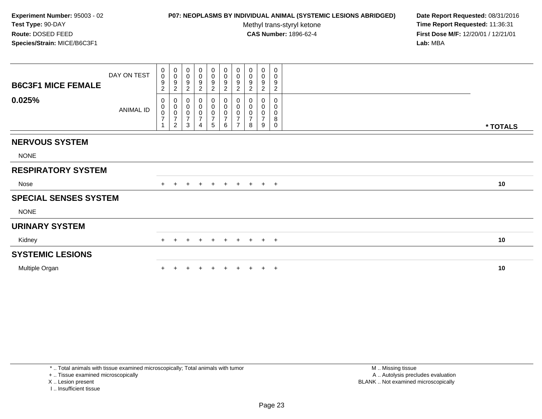## **P07: NEOPLASMS BY INDIVIDUAL ANIMAL (SYSTEMIC LESIONS ABRIDGED) Date Report Requested:** 08/31/2016

Methyl trans-styryl ketone<br>CAS Number: 1896-62-4

 **Time Report Requested:** 11:36:31 **First Dose M/F:** 12/20/01 / 12/21/01<br>Lab: MBA **Lab:** MBA

| <b>B6C3F1 MICE FEMALE</b>    | DAY ON TEST | 0<br>$\pmb{0}$<br>9<br>$\overline{c}$          | $\pmb{0}$<br>$\boldsymbol{0}$<br>$\boldsymbol{9}$<br>$\overline{c}$             | 0<br>0<br>9<br>$\overline{c}$                        | 0<br>$\pmb{0}$<br>9<br>$\overline{c}$                   | $\begin{smallmatrix}0\0\0\9\end{smallmatrix}$<br>$\sqrt{2}$                 | $\begin{array}{c} 0 \\ 0 \\ 9 \\ 2 \end{array}$ | $\begin{smallmatrix} 0\\0 \end{smallmatrix}$<br>$9\,$<br>$\overline{2}$ | 0<br>0<br>9<br>2                   | $\pmb{0}$<br>$\mathbf 0$<br>$\boldsymbol{9}$<br>$\overline{c}$ | 0<br>0<br>9<br>$\overline{c}$   |          |
|------------------------------|-------------|------------------------------------------------|---------------------------------------------------------------------------------|------------------------------------------------------|---------------------------------------------------------|-----------------------------------------------------------------------------|-------------------------------------------------|-------------------------------------------------------------------------|------------------------------------|----------------------------------------------------------------|---------------------------------|----------|
| 0.025%                       | ANIMAL ID   | 0<br>$\begin{matrix} 0 \\ 0 \\ 7 \end{matrix}$ | $\boldsymbol{0}$<br>$\begin{matrix} 0 \\ 0 \\ 7 \end{matrix}$<br>$\overline{c}$ | 0<br>$\mathbf 0$<br>$\pmb{0}$<br>$\overline{7}$<br>3 | 0<br>$\pmb{0}$<br>0<br>$\overline{7}$<br>$\overline{4}$ | $\boldsymbol{0}$<br>$\begin{matrix} 0 \\ 0 \\ 7 \end{matrix}$<br>$\sqrt{5}$ | $\,6\,$                                         | 0<br>$\begin{matrix} 0 \\ 0 \\ 7 \end{matrix}$<br>$\overline{7}$        | 0<br>0<br>0<br>$\overline{7}$<br>8 | 0<br>$\pmb{0}$<br>$\overline{7}$<br>9                          | 0<br>0<br>0<br>8<br>$\mathbf 0$ | * TOTALS |
| <b>NERVOUS SYSTEM</b>        |             |                                                |                                                                                 |                                                      |                                                         |                                                                             |                                                 |                                                                         |                                    |                                                                |                                 |          |
| <b>NONE</b>                  |             |                                                |                                                                                 |                                                      |                                                         |                                                                             |                                                 |                                                                         |                                    |                                                                |                                 |          |
| <b>RESPIRATORY SYSTEM</b>    |             |                                                |                                                                                 |                                                      |                                                         |                                                                             |                                                 |                                                                         |                                    |                                                                |                                 |          |
| Nose                         |             |                                                |                                                                                 | $\pm$                                                | $+$                                                     | $\ddot{}$                                                                   | $+$                                             | $+$                                                                     | $+$                                |                                                                | $+$ $+$                         | 10       |
| <b>SPECIAL SENSES SYSTEM</b> |             |                                                |                                                                                 |                                                      |                                                         |                                                                             |                                                 |                                                                         |                                    |                                                                |                                 |          |
| <b>NONE</b>                  |             |                                                |                                                                                 |                                                      |                                                         |                                                                             |                                                 |                                                                         |                                    |                                                                |                                 |          |
| <b>URINARY SYSTEM</b>        |             |                                                |                                                                                 |                                                      |                                                         |                                                                             |                                                 |                                                                         |                                    |                                                                |                                 |          |
| Kidney                       |             | $+$                                            |                                                                                 | $\ddot{}$                                            | $+$                                                     | $\ddot{}$                                                                   | $+$                                             | $+$                                                                     | $+$                                |                                                                | $+$ $+$                         | 10       |
| <b>SYSTEMIC LESIONS</b>      |             |                                                |                                                                                 |                                                      |                                                         |                                                                             |                                                 |                                                                         |                                    |                                                                |                                 |          |
| Multiple Organ               |             |                                                |                                                                                 |                                                      |                                                         |                                                                             |                                                 |                                                                         |                                    |                                                                | $\overline{+}$                  | 10       |

\* .. Total animals with tissue examined microscopically; Total animals with tumor

+ .. Tissue examined microscopically

X .. Lesion present

I .. Insufficient tissue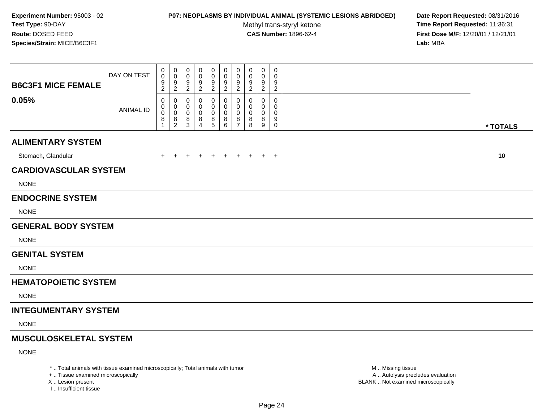#### **P07: NEOPLASMS BY INDIVIDUAL ANIMAL (SYSTEMIC LESIONS ABRIDGED) Date Report Requested:** 08/31/2016

Methyl trans-styryl ketone<br>CAS Number: 1896-62-4

 **Time Report Requested:** 11:36:31 **First Dose M/F:** 12/20/01 / 12/21/01<br>**Lab:** MBA **Lab:** MBA

| <b>B6C3F1 MICE FEMALE</b>     | DAY ON TEST      | 0<br>0<br>9<br>$\overline{c}$ | 0<br>$\pmb{0}$<br>$\boldsymbol{9}$<br>$\overline{2}$ | 0<br>0<br>9<br>$\overline{c}$ | 0<br>0<br>9<br>$\overline{2}$ | $\mathbf 0$<br>$\pmb{0}$<br>$\boldsymbol{9}$<br>$\sqrt{2}$             | $\mathbf 0$<br>$\pmb{0}$<br>$\boldsymbol{9}$<br>$\boldsymbol{2}$ | 0<br>0<br>9<br>$\overline{2}$                          | 0<br>0<br>9<br>2      | 0<br>0<br>9<br>$\overline{c}$ | $\pmb{0}$<br>0<br>9<br>$\mathbf{2}$                 |          |
|-------------------------------|------------------|-------------------------------|------------------------------------------------------|-------------------------------|-------------------------------|------------------------------------------------------------------------|------------------------------------------------------------------|--------------------------------------------------------|-----------------------|-------------------------------|-----------------------------------------------------|----------|
| 0.05%                         | <b>ANIMAL ID</b> | 0<br>0<br>$\pmb{0}$<br>8<br>1 | 0<br>$\mathbf 0$<br>$\pmb{0}$<br>8<br>$\overline{2}$ | 0<br>0<br>0<br>8<br>3         | 0<br>0<br>0<br>8<br>4         | 0<br>$\mathbf 0$<br>$\pmb{0}$<br>$\begin{array}{c} 8 \\ 5 \end{array}$ | 0<br>$\mathbf 0$<br>$\pmb{0}$<br>$\bf8$<br>$\,6\,$               | 0<br>$\mathbf 0$<br>$\mathbf 0$<br>8<br>$\overline{7}$ | 0<br>0<br>0<br>8<br>8 | 0<br>0<br>0<br>8<br>9         | $\mathbf 0$<br>0<br>$\mathbf 0$<br>9<br>$\mathbf 0$ | * TOTALS |
| <b>ALIMENTARY SYSTEM</b>      |                  |                               |                                                      |                               |                               |                                                                        |                                                                  |                                                        |                       |                               |                                                     |          |
| Stomach, Glandular            |                  | $+$                           | $+$                                                  | $+$                           | $+$                           | $+$                                                                    | $+$                                                              | $+$                                                    | $+$                   |                               | $+$ $+$                                             | 10       |
| <b>CARDIOVASCULAR SYSTEM</b>  |                  |                               |                                                      |                               |                               |                                                                        |                                                                  |                                                        |                       |                               |                                                     |          |
| <b>NONE</b>                   |                  |                               |                                                      |                               |                               |                                                                        |                                                                  |                                                        |                       |                               |                                                     |          |
| <b>ENDOCRINE SYSTEM</b>       |                  |                               |                                                      |                               |                               |                                                                        |                                                                  |                                                        |                       |                               |                                                     |          |
| <b>NONE</b>                   |                  |                               |                                                      |                               |                               |                                                                        |                                                                  |                                                        |                       |                               |                                                     |          |
| <b>GENERAL BODY SYSTEM</b>    |                  |                               |                                                      |                               |                               |                                                                        |                                                                  |                                                        |                       |                               |                                                     |          |
| <b>NONE</b>                   |                  |                               |                                                      |                               |                               |                                                                        |                                                                  |                                                        |                       |                               |                                                     |          |
| <b>GENITAL SYSTEM</b>         |                  |                               |                                                      |                               |                               |                                                                        |                                                                  |                                                        |                       |                               |                                                     |          |
| <b>NONE</b>                   |                  |                               |                                                      |                               |                               |                                                                        |                                                                  |                                                        |                       |                               |                                                     |          |
| <b>HEMATOPOIETIC SYSTEM</b>   |                  |                               |                                                      |                               |                               |                                                                        |                                                                  |                                                        |                       |                               |                                                     |          |
| <b>NONE</b>                   |                  |                               |                                                      |                               |                               |                                                                        |                                                                  |                                                        |                       |                               |                                                     |          |
| <b>INTEGUMENTARY SYSTEM</b>   |                  |                               |                                                      |                               |                               |                                                                        |                                                                  |                                                        |                       |                               |                                                     |          |
| <b>NONE</b>                   |                  |                               |                                                      |                               |                               |                                                                        |                                                                  |                                                        |                       |                               |                                                     |          |
| <b>MUSCULOSKELETAL SYSTEM</b> |                  |                               |                                                      |                               |                               |                                                                        |                                                                  |                                                        |                       |                               |                                                     |          |
| <b>NONE</b>                   |                  |                               |                                                      |                               |                               |                                                                        |                                                                  |                                                        |                       |                               |                                                     |          |
|                               |                  |                               |                                                      |                               |                               |                                                                        |                                                                  |                                                        |                       |                               |                                                     |          |

\* .. Total animals with tissue examined microscopically; Total animals with tumor

+ .. Tissue examined microscopically

X .. Lesion present

I .. Insufficient tissue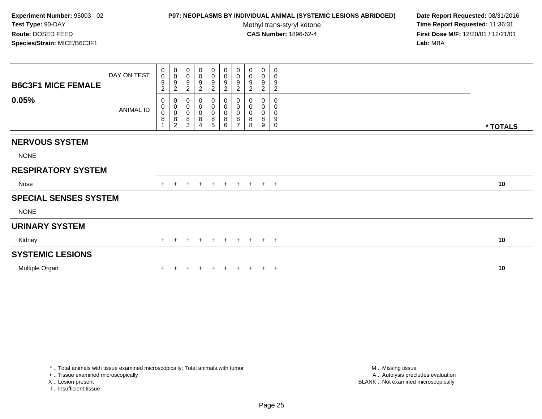## **P07: NEOPLASMS BY INDIVIDUAL ANIMAL (SYSTEMIC LESIONS ABRIDGED) Date Report Requested:** 08/31/2016

Methyl trans-styryl ketone<br>CAS Number: 1896-62-4

 **Time Report Requested:** 11:36:31 **First Dose M/F:** 12/20/01 / 12/21/01<br>Lab: MBA **Lab:** MBA

| <b>B6C3F1 MICE FEMALE</b>    | DAY ON TEST | 0<br>$\mathsf{O}$<br>9<br>$\overline{c}$  | 0<br>$\ddot{\mathbf{0}}$<br>$\boldsymbol{9}$<br>$\overline{2}$ | 0<br>$\boldsymbol{0}$<br>$\boldsymbol{9}$<br>$\overline{c}$ | 0<br>0<br>9<br>$\overline{2}$      | $\pmb{0}$<br>$\frac{0}{9}$<br>$\overline{2}$           | $\mathbf 0$<br>$\frac{0}{9}$<br>$\overline{c}$ | $\begin{smallmatrix} 0\\0 \end{smallmatrix}$<br>$9\,$<br>$\sqrt{2}$ | 0<br>$\mathbf 0$<br>9<br>2                | $\pmb{0}$<br>$\mathbf 0$<br>9<br>$\overline{c}$ | 0<br>0<br>9<br>$\overline{c}$   |          |
|------------------------------|-------------|-------------------------------------------|----------------------------------------------------------------|-------------------------------------------------------------|------------------------------------|--------------------------------------------------------|------------------------------------------------|---------------------------------------------------------------------|-------------------------------------------|-------------------------------------------------|---------------------------------|----------|
| 0.05%                        | ANIMAL ID   | 0<br>$\mathbf 0$<br>$\boldsymbol{0}$<br>8 | $\pmb{0}$<br>$_{\rm 0}^{\rm 0}$<br>$\frac{8}{2}$               | $\pmb{0}$<br>$_{\rm 0}^{\rm 0}$<br>$\bf 8$<br>$\sqrt{3}$    | 0<br>0<br>0<br>8<br>$\overline{4}$ | $\boldsymbol{0}$<br>$_{\rm 0}^{\rm 0}$<br>$\bf 8$<br>5 | 0<br>$\pmb{0}$<br>$\bar{0}$<br>8<br>6          | 0<br>$\pmb{0}$<br>$\overline{0}$<br>$\bf 8$<br>$\overline{7}$       | 0<br>$\mathbf 0$<br>$\mathbf 0$<br>8<br>8 | 0<br>0<br>0<br>8<br>9                           | 0<br>0<br>0<br>9<br>$\mathbf 0$ | * TOTALS |
| <b>NERVOUS SYSTEM</b>        |             |                                           |                                                                |                                                             |                                    |                                                        |                                                |                                                                     |                                           |                                                 |                                 |          |
| <b>NONE</b>                  |             |                                           |                                                                |                                                             |                                    |                                                        |                                                |                                                                     |                                           |                                                 |                                 |          |
| <b>RESPIRATORY SYSTEM</b>    |             |                                           |                                                                |                                                             |                                    |                                                        |                                                |                                                                     |                                           |                                                 |                                 |          |
| Nose                         |             |                                           |                                                                | $\div$                                                      | $+$                                | $+$                                                    | $+$                                            | $+$                                                                 | $+$                                       |                                                 | $+$ $+$                         | 10       |
| <b>SPECIAL SENSES SYSTEM</b> |             |                                           |                                                                |                                                             |                                    |                                                        |                                                |                                                                     |                                           |                                                 |                                 |          |
| <b>NONE</b>                  |             |                                           |                                                                |                                                             |                                    |                                                        |                                                |                                                                     |                                           |                                                 |                                 |          |
| <b>URINARY SYSTEM</b>        |             |                                           |                                                                |                                                             |                                    |                                                        |                                                |                                                                     |                                           |                                                 |                                 |          |
| Kidney                       |             | $+$                                       | $\pm$                                                          | $\ddot{}$                                                   | $\pm$                              | $+$                                                    | $+$                                            | $+$                                                                 | $+$                                       |                                                 | $+$ $+$                         | 10       |
| <b>SYSTEMIC LESIONS</b>      |             |                                           |                                                                |                                                             |                                    |                                                        |                                                |                                                                     |                                           |                                                 |                                 |          |
| Multiple Organ               |             |                                           |                                                                |                                                             |                                    |                                                        |                                                |                                                                     |                                           |                                                 | $^{+}$                          | 10       |

\* .. Total animals with tissue examined microscopically; Total animals with tumor

+ .. Tissue examined microscopically

X .. Lesion present

I .. Insufficient tissue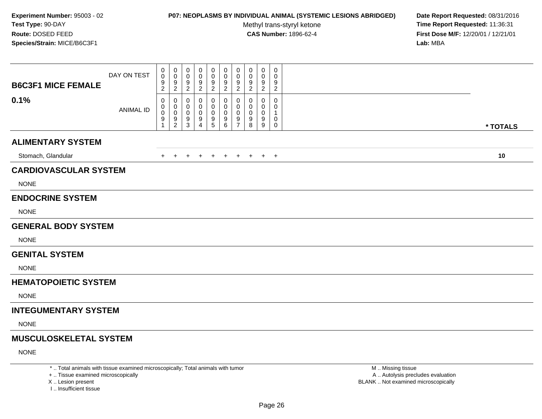#### **P07: NEOPLASMS BY INDIVIDUAL ANIMAL (SYSTEMIC LESIONS ABRIDGED) Date Report Requested:** 08/31/2016

Methyl trans-styryl ketone<br>CAS Number: 1896-62-4

 **Time Report Requested:** 11:36:31 **First Dose M/F:** 12/20/01 / 12/21/01<br>**Lab:** MBA **Lab:** MBA

| <b>B6C3F1 MICE FEMALE</b>     | DAY ON TEST      | 0<br>0<br>9<br>$\overline{c}$ | 0<br>$\pmb{0}$<br>$\boldsymbol{9}$<br>$\overline{2}$                | 0<br>0<br>9<br>$\overline{c}$ | 0<br>0<br>9<br>$\overline{2}$ | $\mathbf 0$<br>$\pmb{0}$<br>$\boldsymbol{9}$<br>$\sqrt{2}$             | 0<br>$\pmb{0}$<br>$\boldsymbol{9}$<br>$\boldsymbol{2}$ | 0<br>0<br>9<br>$\overline{2}$                          | 0<br>0<br>9<br>2      | $\mathbf 0$<br>0<br>9<br>$\overline{c}$ | $\pmb{0}$<br>0<br>9<br>$\overline{2}$ |          |
|-------------------------------|------------------|-------------------------------|---------------------------------------------------------------------|-------------------------------|-------------------------------|------------------------------------------------------------------------|--------------------------------------------------------|--------------------------------------------------------|-----------------------|-----------------------------------------|---------------------------------------|----------|
| 0.1%                          | <b>ANIMAL ID</b> | 0<br>0<br>$\pmb{0}$<br>9<br>1 | 0<br>$\mathbf 0$<br>$\pmb{0}$<br>$\boldsymbol{9}$<br>$\overline{2}$ | 0<br>0<br>0<br>9<br>3         | 0<br>0<br>0<br>9<br>4         | 0<br>$\mathbf 0$<br>$\pmb{0}$<br>$\begin{array}{c} 9 \\ 5 \end{array}$ | 0<br>$\mathbf 0$<br>$\overline{0}$<br>$9\,$<br>$\,6\,$ | 0<br>$\mathbf 0$<br>$\mathbf 0$<br>9<br>$\overline{7}$ | 0<br>0<br>0<br>9<br>8 | 0<br>0<br>0<br>9<br>9                   | $\mathbf 0$<br>0<br>1<br>0<br>0       | * TOTALS |
| <b>ALIMENTARY SYSTEM</b>      |                  |                               |                                                                     |                               |                               |                                                                        |                                                        |                                                        |                       |                                         |                                       |          |
| Stomach, Glandular            |                  | $+$                           | $+$                                                                 | $+$                           | $+$                           | $+$                                                                    | $+$                                                    | $+$                                                    | $+$                   |                                         | $+$ $+$                               | 10       |
| <b>CARDIOVASCULAR SYSTEM</b>  |                  |                               |                                                                     |                               |                               |                                                                        |                                                        |                                                        |                       |                                         |                                       |          |
| <b>NONE</b>                   |                  |                               |                                                                     |                               |                               |                                                                        |                                                        |                                                        |                       |                                         |                                       |          |
| <b>ENDOCRINE SYSTEM</b>       |                  |                               |                                                                     |                               |                               |                                                                        |                                                        |                                                        |                       |                                         |                                       |          |
| <b>NONE</b>                   |                  |                               |                                                                     |                               |                               |                                                                        |                                                        |                                                        |                       |                                         |                                       |          |
| <b>GENERAL BODY SYSTEM</b>    |                  |                               |                                                                     |                               |                               |                                                                        |                                                        |                                                        |                       |                                         |                                       |          |
| <b>NONE</b>                   |                  |                               |                                                                     |                               |                               |                                                                        |                                                        |                                                        |                       |                                         |                                       |          |
| <b>GENITAL SYSTEM</b>         |                  |                               |                                                                     |                               |                               |                                                                        |                                                        |                                                        |                       |                                         |                                       |          |
| <b>NONE</b>                   |                  |                               |                                                                     |                               |                               |                                                                        |                                                        |                                                        |                       |                                         |                                       |          |
| <b>HEMATOPOIETIC SYSTEM</b>   |                  |                               |                                                                     |                               |                               |                                                                        |                                                        |                                                        |                       |                                         |                                       |          |
| <b>NONE</b>                   |                  |                               |                                                                     |                               |                               |                                                                        |                                                        |                                                        |                       |                                         |                                       |          |
| <b>INTEGUMENTARY SYSTEM</b>   |                  |                               |                                                                     |                               |                               |                                                                        |                                                        |                                                        |                       |                                         |                                       |          |
| <b>NONE</b>                   |                  |                               |                                                                     |                               |                               |                                                                        |                                                        |                                                        |                       |                                         |                                       |          |
| <b>MUSCULOSKELETAL SYSTEM</b> |                  |                               |                                                                     |                               |                               |                                                                        |                                                        |                                                        |                       |                                         |                                       |          |
| <b>NONE</b>                   |                  |                               |                                                                     |                               |                               |                                                                        |                                                        |                                                        |                       |                                         |                                       |          |
|                               |                  |                               |                                                                     |                               |                               |                                                                        |                                                        |                                                        |                       |                                         |                                       |          |

\* .. Total animals with tissue examined microscopically; Total animals with tumor

+ .. Tissue examined microscopically

X .. Lesion present

I .. Insufficient tissue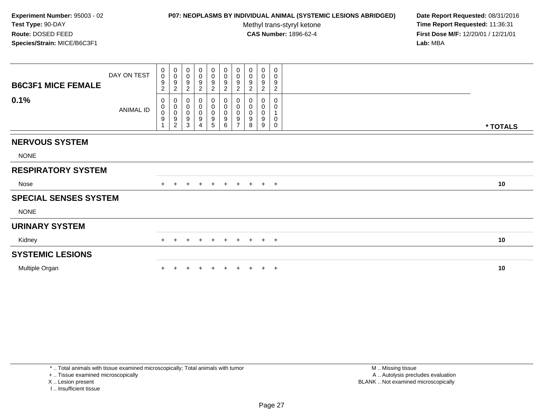## **P07: NEOPLASMS BY INDIVIDUAL ANIMAL (SYSTEMIC LESIONS ABRIDGED) Date Report Requested:** 08/31/2016

Methyl trans-styryl ketone<br>CAS Number: 1896-62-4

| <b>B6C3F1 MICE FEMALE</b>    | DAY ON TEST | 0<br>$\boldsymbol{0}$<br>9<br>$\overline{c}$ | $_{\rm 0}^{\rm 0}$<br>$\frac{9}{2}$                                 | $_{\rm 0}^{\rm 0}$<br>$\boldsymbol{9}$<br>$\sqrt{2}$ | 0<br>0<br>9<br>$\boldsymbol{2}$ | $\begin{array}{c} 0 \\ 0 \\ 9 \\ 2 \end{array}$      | $_0^0$<br>$\boldsymbol{9}$<br>$\overline{c}$   | $\begin{smallmatrix} 0\\0 \end{smallmatrix}$<br>$\boldsymbol{9}$<br>$\boldsymbol{2}$ | 0<br>$\pmb{0}$<br>9<br>$\overline{c}$ | $\begin{smallmatrix} 0\\0 \end{smallmatrix}$<br>9<br>$\boldsymbol{2}$ | 0<br>0<br>9<br>$\boldsymbol{2}$   |          |
|------------------------------|-------------|----------------------------------------------|---------------------------------------------------------------------|------------------------------------------------------|---------------------------------|------------------------------------------------------|------------------------------------------------|--------------------------------------------------------------------------------------|---------------------------------------|-----------------------------------------------------------------------|-----------------------------------|----------|
| 0.1%                         | ANIMAL ID   | 0<br>$\mathbf 0$<br>$\mathbf 0$<br>9         | $\pmb{0}$<br>$\pmb{0}$<br>$\pmb{0}$<br>$\overline{9}$<br>$\sqrt{2}$ | 0<br>$\pmb{0}$<br>$_{9}^{\rm 0}$<br>$\mathbf{3}$     | 0<br>0<br>0<br>9<br>4           | $\boldsymbol{0}$<br>$\pmb{0}$<br>$_{9}^{\rm o}$<br>5 | 0<br>$\mathbf 0$<br>0<br>$\boldsymbol{9}$<br>6 | 0<br>$\mathbf 0$<br>$\pmb{0}$<br>$\boldsymbol{9}$<br>$\overline{7}$                  | 0<br>0<br>$\pmb{0}$<br>9<br>8         | 0<br>0<br>9<br>9                                                      | $\mathbf 0$<br>0<br>0<br>$\Omega$ | * TOTALS |
| <b>NERVOUS SYSTEM</b>        |             |                                              |                                                                     |                                                      |                                 |                                                      |                                                |                                                                                      |                                       |                                                                       |                                   |          |
| <b>NONE</b>                  |             |                                              |                                                                     |                                                      |                                 |                                                      |                                                |                                                                                      |                                       |                                                                       |                                   |          |
| <b>RESPIRATORY SYSTEM</b>    |             |                                              |                                                                     |                                                      |                                 |                                                      |                                                |                                                                                      |                                       |                                                                       |                                   |          |
| Nose                         |             |                                              |                                                                     | $\div$                                               | $\pm$                           | $+$                                                  | $+$                                            | $+$                                                                                  | $+$                                   |                                                                       | $+$ $+$                           | 10       |
| <b>SPECIAL SENSES SYSTEM</b> |             |                                              |                                                                     |                                                      |                                 |                                                      |                                                |                                                                                      |                                       |                                                                       |                                   |          |
| <b>NONE</b>                  |             |                                              |                                                                     |                                                      |                                 |                                                      |                                                |                                                                                      |                                       |                                                                       |                                   |          |
| <b>URINARY SYSTEM</b>        |             |                                              |                                                                     |                                                      |                                 |                                                      |                                                |                                                                                      |                                       |                                                                       |                                   |          |
| Kidney                       |             | $+$                                          | $\ddot{}$                                                           | $\ddot{}$                                            | $\ddot{}$                       | $\overline{+}$                                       | $+$                                            | $+$                                                                                  | $+$                                   |                                                                       | $+$ $+$                           | 10       |
| <b>SYSTEMIC LESIONS</b>      |             |                                              |                                                                     |                                                      |                                 |                                                      |                                                |                                                                                      |                                       |                                                                       |                                   |          |
| Multiple Organ               |             |                                              |                                                                     |                                                      |                                 |                                                      |                                                |                                                                                      |                                       |                                                                       | $^{+}$                            | 10       |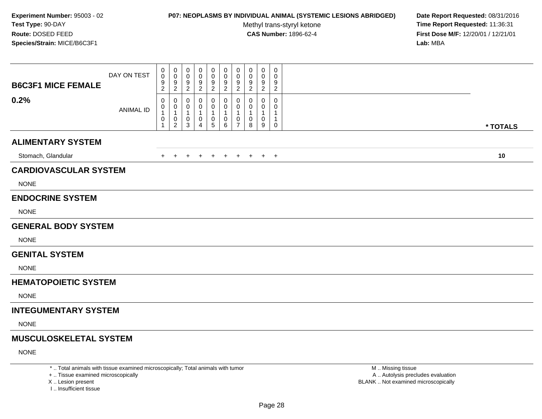#### **P07: NEOPLASMS BY INDIVIDUAL ANIMAL (SYSTEMIC LESIONS ABRIDGED) Date Report Requested:** 08/31/2016

Methyl trans-styryl ketone<br>CAS Number: 1896-62-4

 **Time Report Requested:** 11:36:31 **First Dose M/F:** 12/20/01 / 12/21/01<br>**Lab:** MBA **Lab:** MBA

| <b>B6C3F1 MICE FEMALE</b>     | DAY ON TEST      | 0<br>$\mathbf 0$<br>9<br>$\overline{2}$ | 0<br>0<br>$9\,$<br>$\overline{c}$                       | 0<br>0<br>9<br>$\overline{2}$ | 0<br>0<br>9<br>$\overline{2}$ | 0<br>0<br>$\frac{9}{2}$       | $\mathbf 0$<br>0<br>9<br>$\overline{2}$  | $\pmb{0}$<br>0<br>9<br>2                      | 0<br>0<br>9<br>2 | 0<br>0<br>9<br>$\overline{2}$ | $\mathbf 0$<br>0<br>9<br>$\overline{c}$ |          |  |
|-------------------------------|------------------|-----------------------------------------|---------------------------------------------------------|-------------------------------|-------------------------------|-------------------------------|------------------------------------------|-----------------------------------------------|------------------|-------------------------------|-----------------------------------------|----------|--|
| 0.2%                          | <b>ANIMAL ID</b> | 0<br>0<br>$\mathbf{1}$<br>$\,0\,$<br>1  | 0<br>0<br>$\mathbf{1}$<br>$\mathbf 0$<br>$\overline{c}$ | $\Omega$<br>0<br>-1<br>0<br>3 | 0<br>0<br>-1<br>0<br>Δ        | 0<br>0<br>1<br>$\pmb{0}$<br>5 | $\mathbf{0}$<br>$\overline{0}$<br>0<br>6 | $\mathbf 0$<br>0<br>-1<br>0<br>$\overline{7}$ | 0<br>0<br>0<br>8 | $\Omega$<br>0<br>1<br>0<br>9  | 0<br>0<br>1<br>0                        | * TOTALS |  |
| <b>ALIMENTARY SYSTEM</b>      |                  |                                         |                                                         |                               |                               |                               |                                          |                                               |                  |                               |                                         |          |  |
| Stomach, Glandular            |                  | $\pm$                                   |                                                         |                               |                               | $\div$                        | $\ddot{}$                                | $+$                                           | $\ddot{}$        |                               | $+$ $+$                                 | 10       |  |
| <b>CARDIOVASCULAR SYSTEM</b>  |                  |                                         |                                                         |                               |                               |                               |                                          |                                               |                  |                               |                                         |          |  |
| <b>NONE</b>                   |                  |                                         |                                                         |                               |                               |                               |                                          |                                               |                  |                               |                                         |          |  |
| <b>ENDOCRINE SYSTEM</b>       |                  |                                         |                                                         |                               |                               |                               |                                          |                                               |                  |                               |                                         |          |  |
| <b>NONE</b>                   |                  |                                         |                                                         |                               |                               |                               |                                          |                                               |                  |                               |                                         |          |  |
| <b>GENERAL BODY SYSTEM</b>    |                  |                                         |                                                         |                               |                               |                               |                                          |                                               |                  |                               |                                         |          |  |
| <b>NONE</b>                   |                  |                                         |                                                         |                               |                               |                               |                                          |                                               |                  |                               |                                         |          |  |
| <b>GENITAL SYSTEM</b>         |                  |                                         |                                                         |                               |                               |                               |                                          |                                               |                  |                               |                                         |          |  |
| <b>NONE</b>                   |                  |                                         |                                                         |                               |                               |                               |                                          |                                               |                  |                               |                                         |          |  |
| <b>HEMATOPOIETIC SYSTEM</b>   |                  |                                         |                                                         |                               |                               |                               |                                          |                                               |                  |                               |                                         |          |  |
| <b>NONE</b>                   |                  |                                         |                                                         |                               |                               |                               |                                          |                                               |                  |                               |                                         |          |  |
| <b>INTEGUMENTARY SYSTEM</b>   |                  |                                         |                                                         |                               |                               |                               |                                          |                                               |                  |                               |                                         |          |  |
| <b>NONE</b>                   |                  |                                         |                                                         |                               |                               |                               |                                          |                                               |                  |                               |                                         |          |  |
| <b>MUSCULOSKELETAL SYSTEM</b> |                  |                                         |                                                         |                               |                               |                               |                                          |                                               |                  |                               |                                         |          |  |
| <b>NONE</b>                   |                  |                                         |                                                         |                               |                               |                               |                                          |                                               |                  |                               |                                         |          |  |

\* .. Total animals with tissue examined microscopically; Total animals with tumor

+ .. Tissue examined microscopically

X .. Lesion present

I .. Insufficient tissue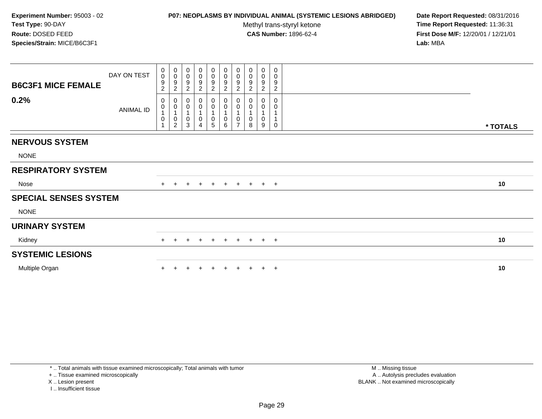## **P07: NEOPLASMS BY INDIVIDUAL ANIMAL (SYSTEMIC LESIONS ABRIDGED) Date Report Requested:** 08/31/2016

Methyl trans-styryl ketone<br>CAS Number: 1896-62-4

 **Time Report Requested:** 11:36:31 **First Dose M/F:** 12/20/01 / 12/21/01<br>Lab: MBA **Lab:** MBA

| <b>B6C3F1 MICE FEMALE</b><br>0.2% | DAY ON TEST<br>ANIMAL ID | 0<br>$\pmb{0}$<br>9<br>$\overline{c}$<br>0<br>$\pmb{0}$<br>$\mathbf{1}$<br>0 | $_{\rm 0}^{\rm 0}$<br>$\boldsymbol{9}$<br>$\overline{c}$<br>$\pmb{0}$<br>$\pmb{0}$<br>$\mathbf{1}$<br>$\pmb{0}$ | $\begin{smallmatrix}0\0\0\end{smallmatrix}$<br>9<br>$\overline{c}$<br>0<br>0<br>$\mathbf{1}$<br>0 | 0<br>$\pmb{0}$<br>9<br>$\overline{2}$<br>0<br>$\pmb{0}$<br>$\mathbf{1}$<br>0 | $\begin{array}{c} 0 \\ 0 \\ 9 \\ 2 \end{array}$<br>$\begin{smallmatrix} 0\\0 \end{smallmatrix}$<br>$\mathbf 0$ | $\begin{array}{c} 0 \\ 0 \\ 9 \\ 2 \end{array}$<br>$\begin{matrix} 0 \\ 0 \\ 1 \end{matrix}$<br>$\pmb{0}$ | $\begin{array}{c} 0 \\ 0 \\ 9 \\ 2 \end{array}$<br>$\pmb{0}$<br>$\overline{0}$<br>1<br>$\pmb{0}$ | 0<br>$\pmb{0}$<br>9<br>$\overline{c}$<br>0<br>$\pmb{0}$<br>0 | $\pmb{0}$<br>$\pmb{0}$<br>$\boldsymbol{9}$<br>$\overline{2}$<br>0<br>$\mathbf{1}$<br>$\mathbf 0$ | $\mathbf 0$<br>0<br>9<br>$\overline{c}$<br>0<br>0 |          |
|-----------------------------------|--------------------------|------------------------------------------------------------------------------|-----------------------------------------------------------------------------------------------------------------|---------------------------------------------------------------------------------------------------|------------------------------------------------------------------------------|----------------------------------------------------------------------------------------------------------------|-----------------------------------------------------------------------------------------------------------|--------------------------------------------------------------------------------------------------|--------------------------------------------------------------|--------------------------------------------------------------------------------------------------|---------------------------------------------------|----------|
|                                   |                          |                                                                              | $\overline{2}$                                                                                                  | 3                                                                                                 | $\overline{4}$                                                               | $\overline{5}$                                                                                                 | $\,6\,$                                                                                                   | $\overline{7}$                                                                                   | 8                                                            | 9                                                                                                | $\Omega$                                          | * TOTALS |
| <b>NERVOUS SYSTEM</b>             |                          |                                                                              |                                                                                                                 |                                                                                                   |                                                                              |                                                                                                                |                                                                                                           |                                                                                                  |                                                              |                                                                                                  |                                                   |          |
| <b>NONE</b>                       |                          |                                                                              |                                                                                                                 |                                                                                                   |                                                                              |                                                                                                                |                                                                                                           |                                                                                                  |                                                              |                                                                                                  |                                                   |          |
| <b>RESPIRATORY SYSTEM</b>         |                          |                                                                              |                                                                                                                 |                                                                                                   |                                                                              |                                                                                                                |                                                                                                           |                                                                                                  |                                                              |                                                                                                  |                                                   |          |
| Nose                              |                          | $+$                                                                          |                                                                                                                 | $\ddot{}$                                                                                         | $+$                                                                          | $\ddot{}$                                                                                                      | $+$                                                                                                       | $+$                                                                                              | $+$                                                          | $+$ $+$                                                                                          |                                                   | 10       |
| <b>SPECIAL SENSES SYSTEM</b>      |                          |                                                                              |                                                                                                                 |                                                                                                   |                                                                              |                                                                                                                |                                                                                                           |                                                                                                  |                                                              |                                                                                                  |                                                   |          |
| <b>NONE</b>                       |                          |                                                                              |                                                                                                                 |                                                                                                   |                                                                              |                                                                                                                |                                                                                                           |                                                                                                  |                                                              |                                                                                                  |                                                   |          |
| <b>URINARY SYSTEM</b>             |                          |                                                                              |                                                                                                                 |                                                                                                   |                                                                              |                                                                                                                |                                                                                                           |                                                                                                  |                                                              |                                                                                                  |                                                   |          |
| Kidney                            |                          | $+$                                                                          | $\pm$                                                                                                           | $\ddot{}$                                                                                         | $+$                                                                          | $+$                                                                                                            | $+$                                                                                                       | $+$                                                                                              | $+$                                                          | $+$ $+$                                                                                          |                                                   | 10       |
| <b>SYSTEMIC LESIONS</b>           |                          |                                                                              |                                                                                                                 |                                                                                                   |                                                                              |                                                                                                                |                                                                                                           |                                                                                                  |                                                              |                                                                                                  |                                                   |          |
| Multiple Organ                    |                          |                                                                              |                                                                                                                 |                                                                                                   |                                                                              |                                                                                                                |                                                                                                           |                                                                                                  |                                                              |                                                                                                  | $\pm$                                             | 10       |

\* .. Total animals with tissue examined microscopically; Total animals with tumor

+ .. Tissue examined microscopically

X .. Lesion present

I .. Insufficient tissue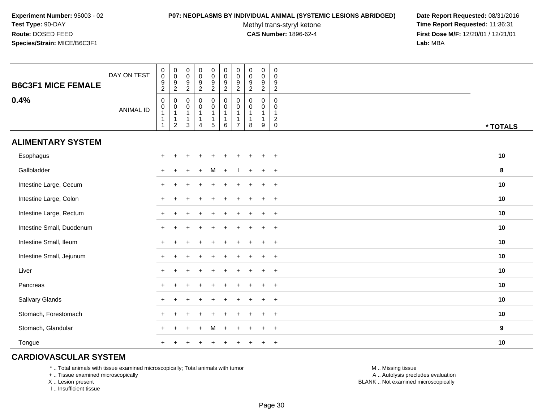#### **P07: NEOPLASMS BY INDIVIDUAL ANIMAL (SYSTEMIC LESIONS ABRIDGED) Date Report Requested:** 08/31/2016

Methyl trans-styryl ketone<br>CAS Number: 1896-62-4

 **Time Report Requested:** 11:36:31 **First Dose M/F:** 12/20/01 / 12/21/01<br>**Lab:** MBA **Lab:** MBA

| <b>B6C3F1 MICE FEMALE</b><br>0.4% | DAY ON TEST      | $\pmb{0}$<br>$\overline{0}$<br>$\frac{9}{2}$<br>$\pmb{0}$                      | $\begin{smallmatrix} 0\\0 \end{smallmatrix}$<br>$\boldsymbol{9}$<br>$\boldsymbol{2}$<br>$\pmb{0}$<br>$\pmb{0}$ | $_{\rm 0}^{\rm 0}$<br>$\frac{9}{2}$<br>$\boldsymbol{0}$<br>$\pmb{0}$ | $\begin{array}{c} 0 \\ 0 \\ 9 \\ 2 \end{array}$<br>$\pmb{0}$                | $\begin{smallmatrix}0\0\0\end{smallmatrix}$<br>$\frac{9}{2}$<br>0<br>$\mathbf 0$ | $\begin{smallmatrix}0\\0\\9\end{smallmatrix}$<br>$\overline{2}$<br>$\pmb{0}$<br>$\mathbf 0$ | $\pmb{0}$<br>$\ddot{\mathbf{0}}$<br>$\boldsymbol{9}$<br>$\boldsymbol{2}$<br>0<br>0 | $\begin{smallmatrix} 0\\0 \end{smallmatrix}$<br>9<br>$\overline{2}$<br>$\mathbf 0$<br>$\pmb{0}$ | $\begin{smallmatrix}0\0\0\9\end{smallmatrix}$<br>$\overline{2}$<br>$\mathbf 0$<br>$\mathsf 0$ | $\pmb{0}$<br>$\mathsf{O}\xspace$<br>9<br>$\overline{2}$<br>0<br>$\mathbf 0$ |                  |
|-----------------------------------|------------------|--------------------------------------------------------------------------------|----------------------------------------------------------------------------------------------------------------|----------------------------------------------------------------------|-----------------------------------------------------------------------------|----------------------------------------------------------------------------------|---------------------------------------------------------------------------------------------|------------------------------------------------------------------------------------|-------------------------------------------------------------------------------------------------|-----------------------------------------------------------------------------------------------|-----------------------------------------------------------------------------|------------------|
|                                   | <b>ANIMAL ID</b> | $\begin{smallmatrix}0\\1\end{smallmatrix}$<br>$\overline{1}$<br>$\overline{1}$ | $\mathbf{1}$<br>$\mathbf{1}$<br>$\overline{c}$                                                                 | $\mathbf{1}$<br>$\mathbf{1}$<br>$\mathbf{3}$                         | $\begin{smallmatrix}0\1\end{smallmatrix}$<br>$\mathbf{1}$<br>$\overline{4}$ | $\mathbf{1}$<br>$\mathbf{1}$<br>$5\phantom{.0}$                                  | $\overline{1}$<br>$\mathbf{1}$<br>$\,6\,$                                                   | $\mathbf{1}$<br>$\mathbf{1}$<br>$\overline{7}$                                     | $\mathbf{1}$<br>$\mathbf{1}$<br>8                                                               | $\mathbf{1}$<br>$\mathbf{1}$<br>9                                                             | $\mathbf{1}$<br>$\overline{c}$<br>$\pmb{0}$                                 | * TOTALS         |
| <b>ALIMENTARY SYSTEM</b>          |                  |                                                                                |                                                                                                                |                                                                      |                                                                             |                                                                                  |                                                                                             |                                                                                    |                                                                                                 |                                                                                               |                                                                             |                  |
| Esophagus                         |                  | $\pm$                                                                          |                                                                                                                |                                                                      |                                                                             |                                                                                  |                                                                                             |                                                                                    |                                                                                                 | $\ddot{}$                                                                                     | $+$                                                                         | 10               |
| Gallbladder                       |                  | $\ddot{}$                                                                      |                                                                                                                |                                                                      |                                                                             |                                                                                  |                                                                                             |                                                                                    |                                                                                                 | $+$                                                                                           | $+$                                                                         | 8                |
| Intestine Large, Cecum            |                  |                                                                                |                                                                                                                |                                                                      |                                                                             |                                                                                  |                                                                                             |                                                                                    |                                                                                                 |                                                                                               | $\ddot{}$                                                                   | 10               |
| Intestine Large, Colon            |                  |                                                                                |                                                                                                                |                                                                      |                                                                             |                                                                                  |                                                                                             |                                                                                    |                                                                                                 |                                                                                               | $+$                                                                         | 10               |
| Intestine Large, Rectum           |                  |                                                                                |                                                                                                                |                                                                      |                                                                             |                                                                                  |                                                                                             |                                                                                    |                                                                                                 | $\ddot{}$                                                                                     | $+$                                                                         | 10               |
| Intestine Small, Duodenum         |                  | ÷                                                                              |                                                                                                                |                                                                      |                                                                             |                                                                                  |                                                                                             |                                                                                    |                                                                                                 | $\overline{+}$                                                                                | $+$                                                                         | 10               |
| Intestine Small, Ileum            |                  | $\ddot{}$                                                                      |                                                                                                                |                                                                      |                                                                             |                                                                                  |                                                                                             |                                                                                    |                                                                                                 | $\ddot{}$                                                                                     | $+$                                                                         | 10               |
| Intestine Small, Jejunum          |                  |                                                                                |                                                                                                                |                                                                      |                                                                             |                                                                                  |                                                                                             |                                                                                    |                                                                                                 | $\ddot{}$                                                                                     | $+$                                                                         | 10               |
| Liver                             |                  | $+$                                                                            |                                                                                                                |                                                                      |                                                                             |                                                                                  |                                                                                             |                                                                                    |                                                                                                 | $\ddot{}$                                                                                     | $\overline{+}$                                                              | 10               |
| Pancreas                          |                  | $+$                                                                            |                                                                                                                |                                                                      |                                                                             |                                                                                  |                                                                                             |                                                                                    |                                                                                                 | $\ddot{}$                                                                                     | $+$                                                                         | 10               |
| Salivary Glands                   |                  |                                                                                |                                                                                                                |                                                                      |                                                                             |                                                                                  |                                                                                             |                                                                                    |                                                                                                 |                                                                                               | $\overline{+}$                                                              | 10               |
| Stomach, Forestomach              |                  |                                                                                |                                                                                                                |                                                                      |                                                                             |                                                                                  |                                                                                             |                                                                                    |                                                                                                 |                                                                                               | $+$                                                                         | 10               |
| Stomach, Glandular                |                  |                                                                                |                                                                                                                |                                                                      |                                                                             |                                                                                  |                                                                                             |                                                                                    |                                                                                                 |                                                                                               | $+$                                                                         | $\boldsymbol{9}$ |
| Tongue                            |                  |                                                                                |                                                                                                                |                                                                      |                                                                             |                                                                                  |                                                                                             |                                                                                    |                                                                                                 | $\div$                                                                                        | $+$                                                                         | 10               |

## **CARDIOVASCULAR SYSTEM**

\* .. Total animals with tissue examined microscopically; Total animals with tumor

+ .. Tissue examined microscopically

X .. Lesion present

I .. Insufficient tissue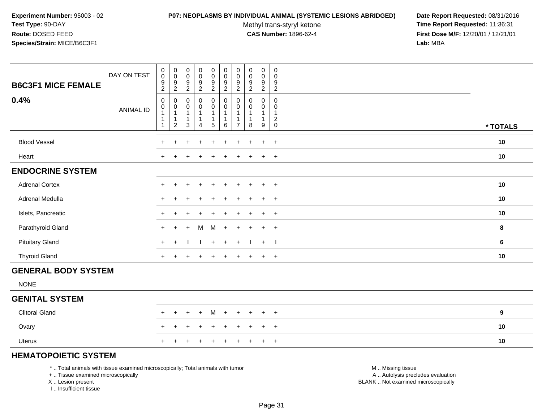#### **P07: NEOPLASMS BY INDIVIDUAL ANIMAL (SYSTEMIC LESIONS ABRIDGED) Date Report Requested:** 08/31/2016

Methyl trans-styryl ketone<br>CAS Number: 1896-62-4

 **Time Report Requested:** 11:36:31 **First Dose M/F:** 12/20/01 / 12/21/01<br>**Lab:** MBA **Lab:** MBA

| <b>B6C3F1 MICE FEMALE</b>  | DAY ON TEST      | $\pmb{0}$<br>$\mathbf 0$<br>$\frac{9}{2}$   | $\begin{smallmatrix} 0\\0 \end{smallmatrix}$<br>$\frac{9}{2}$ | $\begin{smallmatrix} 0\\0 \end{smallmatrix}$<br>$\frac{9}{2}$ | $\pmb{0}$<br>$\mathsf 0$<br>$\frac{9}{2}$                                                      | $\pmb{0}$<br>$\mathbf 0$<br>$\frac{9}{2}$                            | 0<br>$\pmb{0}$<br>$\frac{9}{2}$ | $\mathbf 0$<br>0<br>$\frac{9}{2}$ | $\mathbf 0$<br>$\pmb{0}$<br>$\frac{9}{2}$  | $\mathbf 0$<br>$\mathbf 0$<br>$\frac{9}{2}$                     | $\mathbf 0$<br>$\mathbf 0$<br>$\frac{9}{2}$                                       |          |
|----------------------------|------------------|---------------------------------------------|---------------------------------------------------------------|---------------------------------------------------------------|------------------------------------------------------------------------------------------------|----------------------------------------------------------------------|---------------------------------|-----------------------------------|--------------------------------------------|-----------------------------------------------------------------|-----------------------------------------------------------------------------------|----------|
| 0.4%                       | <b>ANIMAL ID</b> | 0<br>0<br>$\mathbf{1}$<br>1<br>$\mathbf{1}$ | 0<br>0<br>$\mathbf{1}$<br>$\mathbf{1}$<br>$\overline{2}$      | $\mathbf 0$<br>$\pmb{0}$<br>1<br>1<br>$\mathbf{3}$            | $\begin{smallmatrix} 0\\0 \end{smallmatrix}$<br>$\mathbf{1}$<br>$\mathbf{1}$<br>$\overline{a}$ | $\pmb{0}$<br>$\pmb{0}$<br>$\mathbf{1}$<br>$\mathbf{1}$<br>$\sqrt{5}$ | 0<br>0<br>1<br>6                | $\Omega$<br>0<br>$\overline{7}$   | $\mathbf 0$<br>0<br>$\mathbf{1}$<br>1<br>8 | 0<br>$\mathsf{O}\xspace$<br>$\overline{1}$<br>$\mathbf{1}$<br>9 | $\mathbf 0$<br>$\mathbf 0$<br>$\overline{1}$<br>$\sqrt{2}$<br>$\mathsf{O}\xspace$ | * TOTALS |
| <b>Blood Vessel</b>        |                  | $\ddot{}$                                   | $\ddot{}$                                                     | $\overline{ }$                                                | $\ddot{}$                                                                                      | $\ddot{}$                                                            | $\ddot{}$                       |                                   | $\overline{+}$                             | $+$                                                             | $+$                                                                               | 10       |
| Heart                      |                  | $\ddot{}$                                   |                                                               |                                                               |                                                                                                |                                                                      |                                 |                                   |                                            | $\ddot{}$                                                       | $+$                                                                               | 10       |
| <b>ENDOCRINE SYSTEM</b>    |                  |                                             |                                                               |                                                               |                                                                                                |                                                                      |                                 |                                   |                                            |                                                                 |                                                                                   |          |
| <b>Adrenal Cortex</b>      |                  | $\ddot{}$                                   |                                                               |                                                               |                                                                                                |                                                                      |                                 |                                   |                                            | $\ddot{}$                                                       | $+$                                                                               | 10       |
| Adrenal Medulla            |                  | $\ddot{}$                                   |                                                               |                                                               |                                                                                                |                                                                      |                                 |                                   |                                            |                                                                 | $\overline{+}$                                                                    | 10       |
| Islets, Pancreatic         |                  | $\ddot{}$                                   |                                                               |                                                               |                                                                                                |                                                                      |                                 |                                   | $\div$                                     | $\ddot{}$                                                       | $+$                                                                               | 10       |
| Parathyroid Gland          |                  | $+$                                         | $+$                                                           | $\ddot{}$                                                     | M                                                                                              | M                                                                    | $\ddot{}$                       | $\pm$                             | $\ddot{}$                                  | $+$                                                             | $+$                                                                               | 8        |
| <b>Pituitary Gland</b>     |                  | $+$                                         | $+$                                                           |                                                               |                                                                                                | $+$                                                                  | $+$                             | $+$                               |                                            | $+$                                                             | $\blacksquare$                                                                    | 6        |
| <b>Thyroid Gland</b>       |                  | $+$                                         | $+$                                                           | $\div$                                                        | $\ddot{}$                                                                                      | $\overline{+}$                                                       | $\ddot{}$                       | $+$                               | $+$                                        | $+$                                                             | $+$                                                                               | 10       |
| <b>GENERAL BODY SYSTEM</b> |                  |                                             |                                                               |                                                               |                                                                                                |                                                                      |                                 |                                   |                                            |                                                                 |                                                                                   |          |
| <b>NONE</b>                |                  |                                             |                                                               |                                                               |                                                                                                |                                                                      |                                 |                                   |                                            |                                                                 |                                                                                   |          |
| <b>GENITAL SYSTEM</b>      |                  |                                             |                                                               |                                                               |                                                                                                |                                                                      |                                 |                                   |                                            |                                                                 |                                                                                   |          |
| <b>Clitoral Gland</b>      |                  | $\ddot{}$                                   | $\ddot{}$                                                     | $\div$                                                        | $+$                                                                                            | M                                                                    | $\ddot{}$                       | $\pm$                             | $+$                                        | $+$                                                             | $+$                                                                               | 9        |
| Ovary                      |                  | $\ddot{}$                                   |                                                               |                                                               |                                                                                                |                                                                      |                                 |                                   |                                            | $\ddot{}$                                                       | $+$                                                                               | 10       |
| <b>Uterus</b>              |                  | $\ddot{}$                                   |                                                               |                                                               |                                                                                                |                                                                      |                                 |                                   | ÷                                          | $\ddot{}$                                                       | $+$                                                                               | 10       |
| $\blacksquare$             |                  |                                             |                                                               |                                                               |                                                                                                |                                                                      |                                 |                                   |                                            |                                                                 |                                                                                   |          |

# **HEMATOPOIETIC SYSTEM**

\* .. Total animals with tissue examined microscopically; Total animals with tumor

+ .. Tissue examined microscopically

X .. Lesion present

I .. Insufficient tissue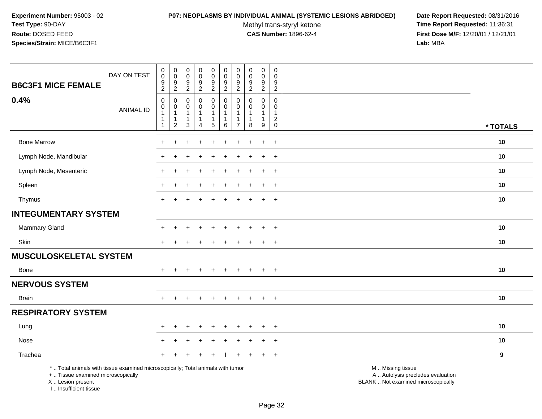#### **P07: NEOPLASMS BY INDIVIDUAL ANIMAL (SYSTEMIC LESIONS ABRIDGED) Date Report Requested:** 08/31/2016

Methyl trans-styryl ketone<br>CAS Number: 1896-62-4

| <b>B6C3F1 MICE FEMALE</b>                                                                                                                                           | DAY ON TEST      | $\mathbf 0$<br>$\pmb{0}$<br>$\boldsymbol{9}$<br>$\overline{2}$                   | $\pmb{0}$<br>$\pmb{0}$<br>$\boldsymbol{9}$<br>$\sqrt{2}$    | $\pmb{0}$<br>$\mathsf{O}\xspace$<br>$\boldsymbol{9}$<br>$\overline{c}$    | $\pmb{0}$<br>$\mathsf{O}\xspace$<br>$9\,$<br>$\overline{a}$ | $\pmb{0}$<br>$\mathsf{O}\xspace$<br>$9\,$<br>$\overline{2}$        | $\pmb{0}$<br>$\mathbf 0$<br>$\boldsymbol{9}$<br>$\overline{2}$      | $\pmb{0}$<br>$\mathbf 0$<br>9<br>$\overline{2}$ | 0<br>$\mathbf 0$<br>9<br>$\overline{2}$           | $\pmb{0}$<br>$\mathbf 0$<br>$\boldsymbol{9}$<br>$\overline{2}$ | $\mathsf{O}\xspace$<br>$\mathbf 0$<br>9<br>$\sqrt{2}$ |                                                                                               |          |
|---------------------------------------------------------------------------------------------------------------------------------------------------------------------|------------------|----------------------------------------------------------------------------------|-------------------------------------------------------------|---------------------------------------------------------------------------|-------------------------------------------------------------|--------------------------------------------------------------------|---------------------------------------------------------------------|-------------------------------------------------|---------------------------------------------------|----------------------------------------------------------------|-------------------------------------------------------|-----------------------------------------------------------------------------------------------|----------|
| 0.4%                                                                                                                                                                | <b>ANIMAL ID</b> | $\mathbf 0$<br>$\mathbf 0$<br>$\overline{1}$<br>$\overline{1}$<br>$\overline{1}$ | $\mathbf 0$<br>$\pmb{0}$<br>$\mathbf{1}$<br>1<br>$\sqrt{2}$ | $\mathbf 0$<br>$\mathbf 0$<br>$\mathbf{1}$<br>$\mathbf{1}$<br>$\mathsf 3$ | 0<br>0<br>$\mathbf{1}$<br>1<br>4                            | 0<br>$\mathbf 0$<br>$\mathbf{1}$<br>$\mathbf{1}$<br>$\overline{5}$ | $\mathbf 0$<br>$\mathbf 0$<br>$\overline{1}$<br>$\overline{1}$<br>6 | 0<br>$\Omega$<br>$\overline{7}$                 | $\mathbf 0$<br>$\Omega$<br>$\mathbf{1}$<br>1<br>8 | 0<br>$\mathbf 0$<br>$\mathbf{1}$<br>$\mathbf{1}$<br>9          | 0<br>$\mathbf 0$<br>$\mathbf{1}$<br>$^2_{\rm 0}$      |                                                                                               | * TOTALS |
| <b>Bone Marrow</b>                                                                                                                                                  |                  |                                                                                  |                                                             |                                                                           |                                                             |                                                                    |                                                                     |                                                 |                                                   |                                                                | $\ddot{}$                                             |                                                                                               | 10       |
| Lymph Node, Mandibular                                                                                                                                              |                  |                                                                                  |                                                             |                                                                           |                                                             |                                                                    |                                                                     |                                                 |                                                   |                                                                | $\ddot{}$                                             |                                                                                               | 10       |
| Lymph Node, Mesenteric                                                                                                                                              |                  | $\pm$                                                                            |                                                             |                                                                           |                                                             |                                                                    |                                                                     |                                                 |                                                   | $\ddot{}$                                                      | $+$                                                   |                                                                                               | 10       |
| Spleen                                                                                                                                                              |                  |                                                                                  |                                                             |                                                                           |                                                             |                                                                    |                                                                     |                                                 |                                                   | $\ddot{}$                                                      | $+$                                                   |                                                                                               | 10       |
| Thymus                                                                                                                                                              |                  |                                                                                  |                                                             |                                                                           |                                                             |                                                                    |                                                                     |                                                 |                                                   | $\ddot{}$                                                      | $\overline{+}$                                        |                                                                                               | 10       |
| <b>INTEGUMENTARY SYSTEM</b>                                                                                                                                         |                  |                                                                                  |                                                             |                                                                           |                                                             |                                                                    |                                                                     |                                                 |                                                   |                                                                |                                                       |                                                                                               |          |
| Mammary Gland                                                                                                                                                       |                  |                                                                                  |                                                             |                                                                           |                                                             |                                                                    |                                                                     |                                                 |                                                   |                                                                | $^+$                                                  |                                                                                               | 10       |
| Skin                                                                                                                                                                |                  | $\pm$                                                                            |                                                             |                                                                           | $\div$                                                      | +                                                                  |                                                                     |                                                 |                                                   | $\ddot{}$                                                      | $+$                                                   |                                                                                               | 10       |
| <b>MUSCULOSKELETAL SYSTEM</b>                                                                                                                                       |                  |                                                                                  |                                                             |                                                                           |                                                             |                                                                    |                                                                     |                                                 |                                                   |                                                                |                                                       |                                                                                               |          |
| Bone                                                                                                                                                                |                  |                                                                                  |                                                             |                                                                           |                                                             |                                                                    |                                                                     |                                                 |                                                   |                                                                | $\overline{+}$                                        |                                                                                               | 10       |
| <b>NERVOUS SYSTEM</b>                                                                                                                                               |                  |                                                                                  |                                                             |                                                                           |                                                             |                                                                    |                                                                     |                                                 |                                                   |                                                                |                                                       |                                                                                               |          |
| <b>Brain</b>                                                                                                                                                        |                  | $+$                                                                              | $\div$                                                      |                                                                           | $\div$                                                      | $\div$                                                             |                                                                     | $\pm$                                           | $\pm$                                             | $\pm$                                                          | $+$                                                   |                                                                                               | 10       |
| <b>RESPIRATORY SYSTEM</b>                                                                                                                                           |                  |                                                                                  |                                                             |                                                                           |                                                             |                                                                    |                                                                     |                                                 |                                                   |                                                                |                                                       |                                                                                               |          |
| Lung                                                                                                                                                                |                  |                                                                                  |                                                             |                                                                           |                                                             |                                                                    |                                                                     |                                                 |                                                   |                                                                | $\overline{+}$                                        |                                                                                               | 10       |
| Nose                                                                                                                                                                |                  |                                                                                  |                                                             |                                                                           |                                                             |                                                                    |                                                                     |                                                 |                                                   |                                                                | $\ddot{}$                                             |                                                                                               | 10       |
| Trachea                                                                                                                                                             |                  |                                                                                  |                                                             |                                                                           |                                                             |                                                                    |                                                                     |                                                 |                                                   | $\ddot{}$                                                      | $+$                                                   |                                                                                               | 9        |
| *  Total animals with tissue examined microscopically; Total animals with tumor<br>+  Tissue examined microscopically<br>X  Lesion present<br>I Insufficient tissue |                  |                                                                                  |                                                             |                                                                           |                                                             |                                                                    |                                                                     |                                                 |                                                   |                                                                |                                                       | M  Missing tissue<br>A  Autolysis precludes evaluation<br>BLANK  Not examined microscopically |          |